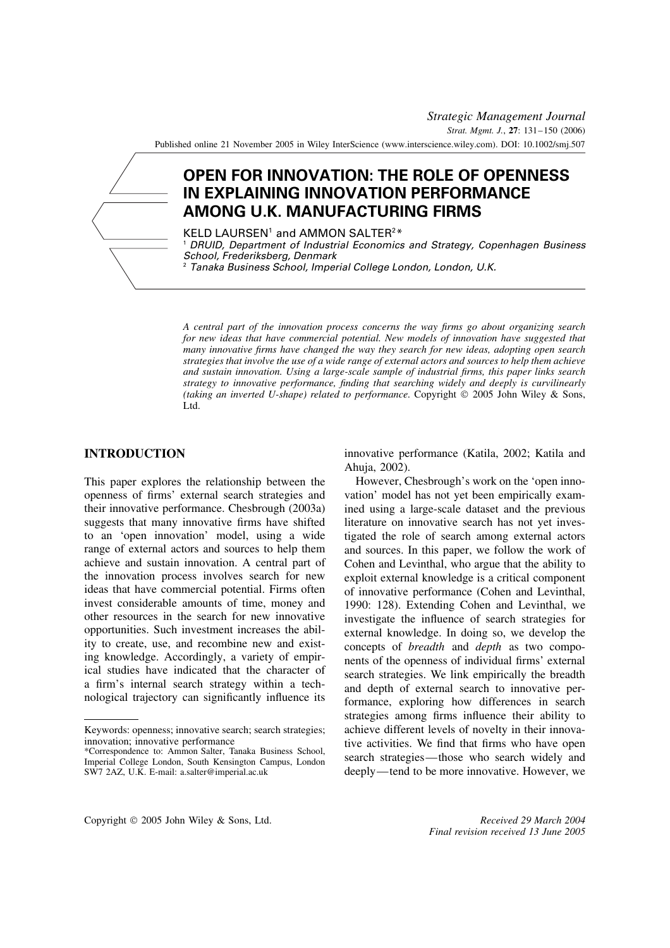*Strategic Management Journal Strat. Mgmt. J.*, **27**: 131–150 (2006) Published online 21 November 2005 in Wiley InterScience (www.interscience.wiley.com). DOI: 10.1002/smj.507

# **OPEN FOR INNOVATION: THE ROLE OF OPENNESS IN EXPLAINING INNOVATION PERFORMANCE AMONG U.K. MANUFACTURING FIRMS**

KELD LAURSEN<sup>1</sup> and AMMON SALTER<sup>2\*</sup>

<sup>1</sup> DRUID, Department of Industrial Economics and Strategy, Copenhagen Business School, Frederiksberg, Denmark

<sup>2</sup> Tanaka Business School, Imperial College London, London, U.K.

*A central part of the innovation process concerns the way firms go about organizing search for new ideas that have commercial potential. New models of innovation have suggested that many innovative firms have changed the way they search for new ideas, adopting open search strategies that involve the use of a wide range of external actors and sources to help them achieve and sustain innovation. Using a large-scale sample of industrial firms, this paper links search strategy to innovative performance, finding that searching widely and deeply is curvilinearly (taking an inverted U-shape) related to performance.* Copyright  $\heartsuit$  2005 John Wiley & Sons, Ltd.

# **INTRODUCTION**

This paper explores the relationship between the openness of firms' external search strategies and their innovative performance. Chesbrough (2003a) suggests that many innovative firms have shifted to an 'open innovation' model, using a wide range of external actors and sources to help them achieve and sustain innovation. A central part of the innovation process involves search for new ideas that have commercial potential. Firms often invest considerable amounts of time, money and other resources in the search for new innovative opportunities. Such investment increases the ability to create, use, and recombine new and existing knowledge. Accordingly, a variety of empirical studies have indicated that the character of a firm's internal search strategy within a technological trajectory can significantly influence its

innovative performance (Katila, 2002; Katila and Ahuja, 2002).

However, Chesbrough's work on the 'open innovation' model has not yet been empirically examined using a large-scale dataset and the previous literature on innovative search has not yet investigated the role of search among external actors and sources. In this paper, we follow the work of Cohen and Levinthal, who argue that the ability to exploit external knowledge is a critical component of innovative performance (Cohen and Levinthal, 1990: 128). Extending Cohen and Levinthal, we investigate the influence of search strategies for external knowledge. In doing so, we develop the concepts of *breadth* and *depth* as two components of the openness of individual firms' external search strategies. We link empirically the breadth and depth of external search to innovative performance, exploring how differences in search strategies among firms influence their ability to achieve different levels of novelty in their innovative activities. We find that firms who have open search strategies—those who search widely and deeply—tend to be more innovative. However, we

Keywords: openness; innovative search; search strategies; innovation; innovative performance

<sup>\*</sup>Correspondence to: Ammon Salter, Tanaka Business School, Imperial College London, South Kensington Campus, London SW7 2AZ, U.K. E-mail: a.salter@imperial.ac.uk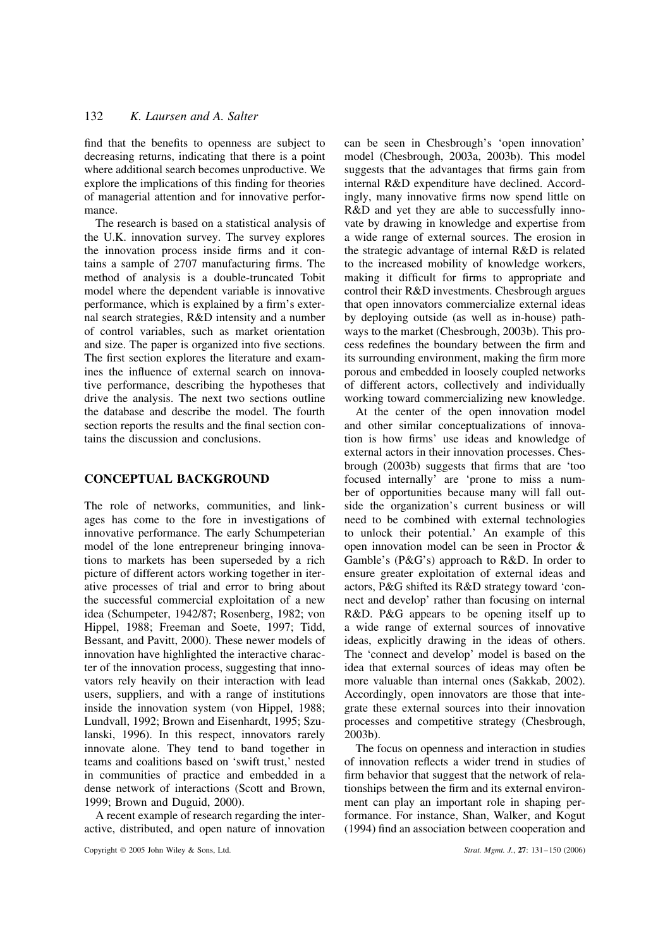find that the benefits to openness are subject to decreasing returns, indicating that there is a point where additional search becomes unproductive. We explore the implications of this finding for theories of managerial attention and for innovative performance.

The research is based on a statistical analysis of the U.K. innovation survey. The survey explores the innovation process inside firms and it contains a sample of 2707 manufacturing firms. The method of analysis is a double-truncated Tobit model where the dependent variable is innovative performance, which is explained by a firm's external search strategies, R&D intensity and a number of control variables, such as market orientation and size. The paper is organized into five sections. The first section explores the literature and examines the influence of external search on innovative performance, describing the hypotheses that drive the analysis. The next two sections outline the database and describe the model. The fourth section reports the results and the final section contains the discussion and conclusions.

### **CONCEPTUAL BACKGROUND**

The role of networks, communities, and linkages has come to the fore in investigations of innovative performance. The early Schumpeterian model of the lone entrepreneur bringing innovations to markets has been superseded by a rich picture of different actors working together in iterative processes of trial and error to bring about the successful commercial exploitation of a new idea (Schumpeter, 1942/87; Rosenberg, 1982; von Hippel, 1988; Freeman and Soete, 1997; Tidd, Bessant, and Pavitt, 2000). These newer models of innovation have highlighted the interactive character of the innovation process, suggesting that innovators rely heavily on their interaction with lead users, suppliers, and with a range of institutions inside the innovation system (von Hippel, 1988; Lundvall, 1992; Brown and Eisenhardt, 1995; Szulanski, 1996). In this respect, innovators rarely innovate alone. They tend to band together in teams and coalitions based on 'swift trust,' nested in communities of practice and embedded in a dense network of interactions (Scott and Brown, 1999; Brown and Duguid, 2000).

A recent example of research regarding the interactive, distributed, and open nature of innovation can be seen in Chesbrough's 'open innovation' model (Chesbrough, 2003a, 2003b). This model suggests that the advantages that firms gain from internal R&D expenditure have declined. Accordingly, many innovative firms now spend little on R&D and yet they are able to successfully innovate by drawing in knowledge and expertise from a wide range of external sources. The erosion in the strategic advantage of internal R&D is related to the increased mobility of knowledge workers, making it difficult for firms to appropriate and control their R&D investments. Chesbrough argues that open innovators commercialize external ideas by deploying outside (as well as in-house) pathways to the market (Chesbrough, 2003b). This process redefines the boundary between the firm and its surrounding environment, making the firm more porous and embedded in loosely coupled networks of different actors, collectively and individually working toward commercializing new knowledge.

At the center of the open innovation model and other similar conceptualizations of innovation is how firms' use ideas and knowledge of external actors in their innovation processes. Chesbrough (2003b) suggests that firms that are 'too focused internally' are 'prone to miss a number of opportunities because many will fall outside the organization's current business or will need to be combined with external technologies to unlock their potential.' An example of this open innovation model can be seen in Proctor & Gamble's (P&G's) approach to R&D. In order to ensure greater exploitation of external ideas and actors, P&G shifted its R&D strategy toward 'connect and develop' rather than focusing on internal R&D. P&G appears to be opening itself up to a wide range of external sources of innovative ideas, explicitly drawing in the ideas of others. The 'connect and develop' model is based on the idea that external sources of ideas may often be more valuable than internal ones (Sakkab, 2002). Accordingly, open innovators are those that integrate these external sources into their innovation processes and competitive strategy (Chesbrough, 2003b).

The focus on openness and interaction in studies of innovation reflects a wider trend in studies of firm behavior that suggest that the network of relationships between the firm and its external environment can play an important role in shaping performance. For instance, Shan, Walker, and Kogut (1994) find an association between cooperation and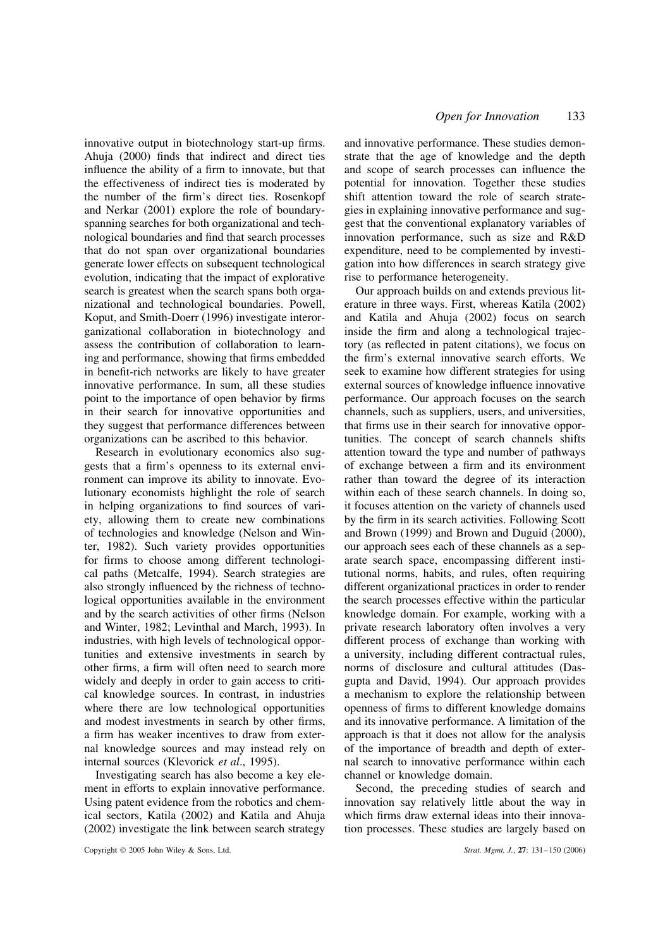innovative output in biotechnology start-up firms. Ahuja (2000) finds that indirect and direct ties influence the ability of a firm to innovate, but that the effectiveness of indirect ties is moderated by the number of the firm's direct ties. Rosenkopf and Nerkar (2001) explore the role of boundaryspanning searches for both organizational and technological boundaries and find that search processes that do not span over organizational boundaries generate lower effects on subsequent technological evolution, indicating that the impact of explorative search is greatest when the search spans both organizational and technological boundaries. Powell, Koput, and Smith-Doerr (1996) investigate interorganizational collaboration in biotechnology and assess the contribution of collaboration to learning and performance, showing that firms embedded in benefit-rich networks are likely to have greater innovative performance. In sum, all these studies point to the importance of open behavior by firms in their search for innovative opportunities and they suggest that performance differences between organizations can be ascribed to this behavior.

Research in evolutionary economics also suggests that a firm's openness to its external environment can improve its ability to innovate. Evolutionary economists highlight the role of search in helping organizations to find sources of variety, allowing them to create new combinations of technologies and knowledge (Nelson and Winter, 1982). Such variety provides opportunities for firms to choose among different technological paths (Metcalfe, 1994). Search strategies are also strongly influenced by the richness of technological opportunities available in the environment and by the search activities of other firms (Nelson and Winter, 1982; Levinthal and March, 1993). In industries, with high levels of technological opportunities and extensive investments in search by other firms, a firm will often need to search more widely and deeply in order to gain access to critical knowledge sources. In contrast, in industries where there are low technological opportunities and modest investments in search by other firms, a firm has weaker incentives to draw from external knowledge sources and may instead rely on internal sources (Klevorick *et al*., 1995).

Investigating search has also become a key element in efforts to explain innovative performance. Using patent evidence from the robotics and chemical sectors, Katila (2002) and Katila and Ahuja (2002) investigate the link between search strategy

and innovative performance. These studies demonstrate that the age of knowledge and the depth and scope of search processes can influence the potential for innovation. Together these studies shift attention toward the role of search strategies in explaining innovative performance and suggest that the conventional explanatory variables of innovation performance, such as size and R&D expenditure, need to be complemented by investigation into how differences in search strategy give rise to performance heterogeneity.

Our approach builds on and extends previous literature in three ways. First, whereas Katila (2002) and Katila and Ahuja (2002) focus on search inside the firm and along a technological trajectory (as reflected in patent citations), we focus on the firm's external innovative search efforts. We seek to examine how different strategies for using external sources of knowledge influence innovative performance. Our approach focuses on the search channels, such as suppliers, users, and universities, that firms use in their search for innovative opportunities. The concept of search channels shifts attention toward the type and number of pathways of exchange between a firm and its environment rather than toward the degree of its interaction within each of these search channels. In doing so, it focuses attention on the variety of channels used by the firm in its search activities. Following Scott and Brown (1999) and Brown and Duguid (2000), our approach sees each of these channels as a separate search space, encompassing different institutional norms, habits, and rules, often requiring different organizational practices in order to render the search processes effective within the particular knowledge domain. For example, working with a private research laboratory often involves a very different process of exchange than working with a university, including different contractual rules, norms of disclosure and cultural attitudes (Dasgupta and David, 1994). Our approach provides a mechanism to explore the relationship between openness of firms to different knowledge domains and its innovative performance. A limitation of the approach is that it does not allow for the analysis of the importance of breadth and depth of external search to innovative performance within each channel or knowledge domain.

Second, the preceding studies of search and innovation say relatively little about the way in which firms draw external ideas into their innovation processes. These studies are largely based on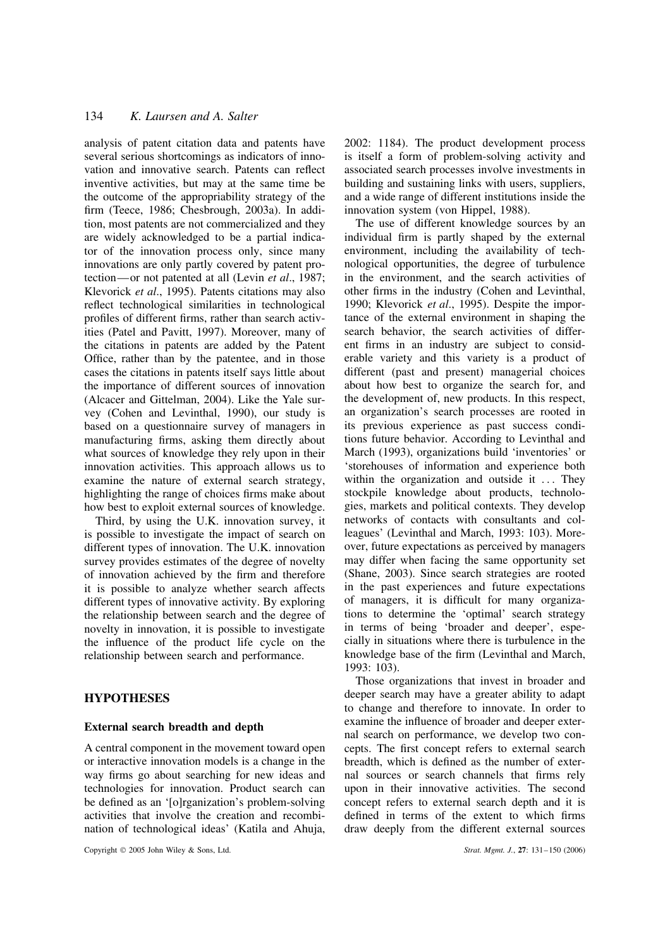analysis of patent citation data and patents have several serious shortcomings as indicators of innovation and innovative search. Patents can reflect inventive activities, but may at the same time be the outcome of the appropriability strategy of the firm (Teece, 1986; Chesbrough, 2003a). In addition, most patents are not commercialized and they are widely acknowledged to be a partial indicator of the innovation process only, since many innovations are only partly covered by patent protection—or not patented at all (Levin *et al*., 1987; Klevorick *et al*., 1995). Patents citations may also reflect technological similarities in technological profiles of different firms, rather than search activities (Patel and Pavitt, 1997). Moreover, many of the citations in patents are added by the Patent Office, rather than by the patentee, and in those cases the citations in patents itself says little about the importance of different sources of innovation (Alcacer and Gittelman, 2004). Like the Yale survey (Cohen and Levinthal, 1990), our study is based on a questionnaire survey of managers in manufacturing firms, asking them directly about what sources of knowledge they rely upon in their innovation activities. This approach allows us to examine the nature of external search strategy, highlighting the range of choices firms make about how best to exploit external sources of knowledge.

Third, by using the U.K. innovation survey, it is possible to investigate the impact of search on different types of innovation. The U.K. innovation survey provides estimates of the degree of novelty of innovation achieved by the firm and therefore it is possible to analyze whether search affects different types of innovative activity. By exploring the relationship between search and the degree of novelty in innovation, it is possible to investigate the influence of the product life cycle on the relationship between search and performance.

#### **HYPOTHESES**

#### **External search breadth and depth**

A central component in the movement toward open or interactive innovation models is a change in the way firms go about searching for new ideas and technologies for innovation. Product search can be defined as an '[o]rganization's problem-solving activities that involve the creation and recombination of technological ideas' (Katila and Ahuja,

2002: 1184). The product development process is itself a form of problem-solving activity and associated search processes involve investments in building and sustaining links with users, suppliers, and a wide range of different institutions inside the innovation system (von Hippel, 1988).

The use of different knowledge sources by an individual firm is partly shaped by the external environment, including the availability of technological opportunities, the degree of turbulence in the environment, and the search activities of other firms in the industry (Cohen and Levinthal, 1990; Klevorick *et al*., 1995). Despite the importance of the external environment in shaping the search behavior, the search activities of different firms in an industry are subject to considerable variety and this variety is a product of different (past and present) managerial choices about how best to organize the search for, and the development of, new products. In this respect, an organization's search processes are rooted in its previous experience as past success conditions future behavior. According to Levinthal and March (1993), organizations build 'inventories' or 'storehouses of information and experience both within the organization and outside it *...* They stockpile knowledge about products, technologies, markets and political contexts. They develop networks of contacts with consultants and colleagues' (Levinthal and March, 1993: 103). Moreover, future expectations as perceived by managers may differ when facing the same opportunity set (Shane, 2003). Since search strategies are rooted in the past experiences and future expectations of managers, it is difficult for many organizations to determine the 'optimal' search strategy in terms of being 'broader and deeper', especially in situations where there is turbulence in the knowledge base of the firm (Levinthal and March, 1993: 103).

Those organizations that invest in broader and deeper search may have a greater ability to adapt to change and therefore to innovate. In order to examine the influence of broader and deeper external search on performance, we develop two concepts. The first concept refers to external search breadth, which is defined as the number of external sources or search channels that firms rely upon in their innovative activities. The second concept refers to external search depth and it is defined in terms of the extent to which firms draw deeply from the different external sources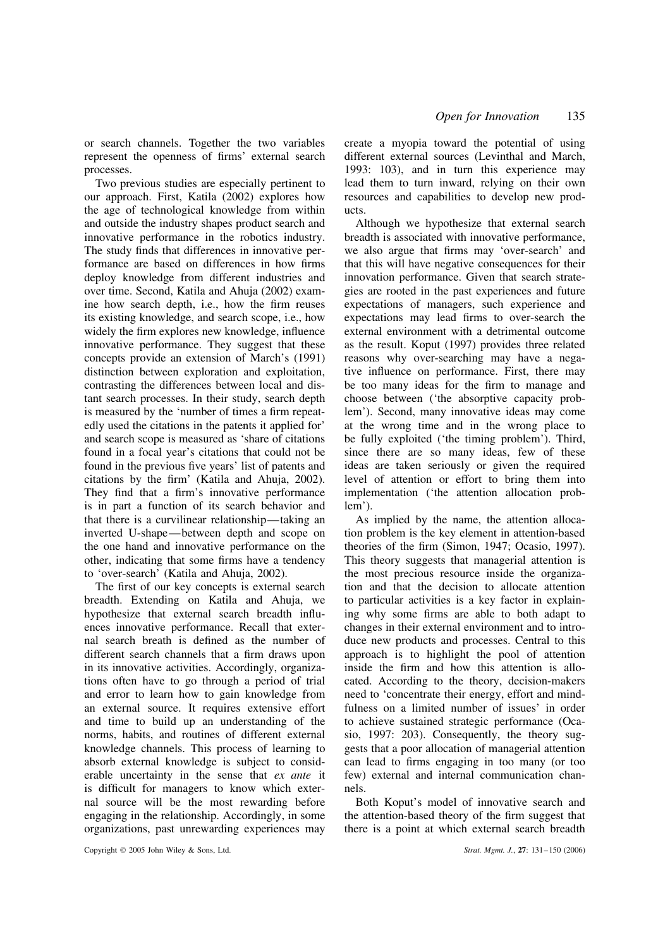Two previous studies are especially pertinent to our approach. First, Katila (2002) explores how the age of technological knowledge from within and outside the industry shapes product search and innovative performance in the robotics industry. The study finds that differences in innovative performance are based on differences in how firms deploy knowledge from different industries and over time. Second, Katila and Ahuja (2002) examine how search depth, i.e., how the firm reuses its existing knowledge, and search scope, i.e., how widely the firm explores new knowledge, influence innovative performance. They suggest that these concepts provide an extension of March's (1991) distinction between exploration and exploitation, contrasting the differences between local and distant search processes. In their study, search depth is measured by the 'number of times a firm repeatedly used the citations in the patents it applied for' and search scope is measured as 'share of citations found in a focal year's citations that could not be found in the previous five years' list of patents and citations by the firm' (Katila and Ahuja, 2002). They find that a firm's innovative performance is in part a function of its search behavior and that there is a curvilinear relationship—taking an inverted U-shape—between depth and scope on the one hand and innovative performance on the other, indicating that some firms have a tendency to 'over-search' (Katila and Ahuja, 2002).

The first of our key concepts is external search breadth. Extending on Katila and Ahuja, we hypothesize that external search breadth influences innovative performance. Recall that external search breath is defined as the number of different search channels that a firm draws upon in its innovative activities. Accordingly, organizations often have to go through a period of trial and error to learn how to gain knowledge from an external source. It requires extensive effort and time to build up an understanding of the norms, habits, and routines of different external knowledge channels. This process of learning to absorb external knowledge is subject to considerable uncertainty in the sense that *ex ante* it is difficult for managers to know which external source will be the most rewarding before engaging in the relationship. Accordingly, in some organizations, past unrewarding experiences may create a myopia toward the potential of using different external sources (Levinthal and March, 1993: 103), and in turn this experience may lead them to turn inward, relying on their own resources and capabilities to develop new products.

Although we hypothesize that external search breadth is associated with innovative performance, we also argue that firms may 'over-search' and that this will have negative consequences for their innovation performance. Given that search strategies are rooted in the past experiences and future expectations of managers, such experience and expectations may lead firms to over-search the external environment with a detrimental outcome as the result. Koput (1997) provides three related reasons why over-searching may have a negative influence on performance. First, there may be too many ideas for the firm to manage and choose between ('the absorptive capacity problem'). Second, many innovative ideas may come at the wrong time and in the wrong place to be fully exploited ('the timing problem'). Third, since there are so many ideas, few of these ideas are taken seriously or given the required level of attention or effort to bring them into implementation ('the attention allocation problem').

As implied by the name, the attention allocation problem is the key element in attention-based theories of the firm (Simon, 1947; Ocasio, 1997). This theory suggests that managerial attention is the most precious resource inside the organization and that the decision to allocate attention to particular activities is a key factor in explaining why some firms are able to both adapt to changes in their external environment and to introduce new products and processes. Central to this approach is to highlight the pool of attention inside the firm and how this attention is allocated. According to the theory, decision-makers need to 'concentrate their energy, effort and mindfulness on a limited number of issues' in order to achieve sustained strategic performance (Ocasio, 1997: 203). Consequently, the theory suggests that a poor allocation of managerial attention can lead to firms engaging in too many (or too few) external and internal communication channels.

Both Koput's model of innovative search and the attention-based theory of the firm suggest that there is a point at which external search breadth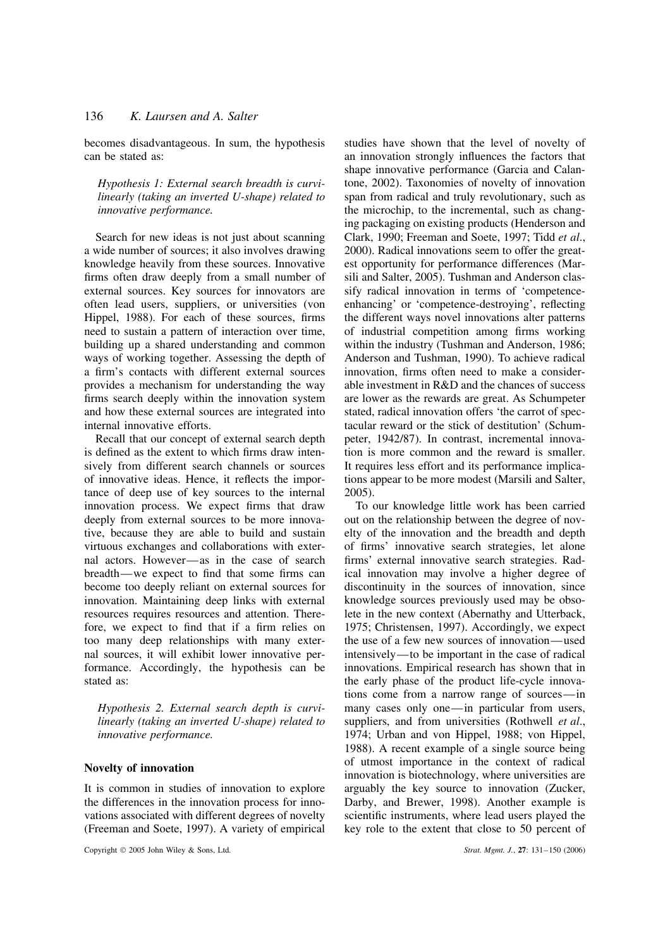becomes disadvantageous. In sum, the hypothesis can be stated as:

*Hypothesis 1: External search breadth is curvilinearly (taking an inverted U-shape) related to innovative performance.*

Search for new ideas is not just about scanning a wide number of sources; it also involves drawing knowledge heavily from these sources. Innovative firms often draw deeply from a small number of external sources. Key sources for innovators are often lead users, suppliers, or universities (von Hippel, 1988). For each of these sources, firms need to sustain a pattern of interaction over time, building up a shared understanding and common ways of working together. Assessing the depth of a firm's contacts with different external sources provides a mechanism for understanding the way firms search deeply within the innovation system and how these external sources are integrated into internal innovative efforts.

Recall that our concept of external search depth is defined as the extent to which firms draw intensively from different search channels or sources of innovative ideas. Hence, it reflects the importance of deep use of key sources to the internal innovation process. We expect firms that draw deeply from external sources to be more innovative, because they are able to build and sustain virtuous exchanges and collaborations with external actors. However—as in the case of search breadth—we expect to find that some firms can become too deeply reliant on external sources for innovation. Maintaining deep links with external resources requires resources and attention. Therefore, we expect to find that if a firm relies on too many deep relationships with many external sources, it will exhibit lower innovative performance. Accordingly, the hypothesis can be stated as:

*Hypothesis 2. External search depth is curvilinearly (taking an inverted U-shape) related to innovative performance.*

#### **Novelty of innovation**

It is common in studies of innovation to explore the differences in the innovation process for innovations associated with different degrees of novelty (Freeman and Soete, 1997). A variety of empirical

Copyright 2005 John Wiley & Sons, Ltd. *Strat. Mgmt. J.*, **27**: 131–150 (2006)

studies have shown that the level of novelty of an innovation strongly influences the factors that shape innovative performance (Garcia and Calantone, 2002). Taxonomies of novelty of innovation span from radical and truly revolutionary, such as the microchip, to the incremental, such as changing packaging on existing products (Henderson and Clark, 1990; Freeman and Soete, 1997; Tidd *et al*., 2000). Radical innovations seem to offer the greatest opportunity for performance differences (Marsili and Salter, 2005). Tushman and Anderson classify radical innovation in terms of 'competenceenhancing' or 'competence-destroying', reflecting the different ways novel innovations alter patterns of industrial competition among firms working within the industry (Tushman and Anderson, 1986; Anderson and Tushman, 1990). To achieve radical innovation, firms often need to make a considerable investment in R&D and the chances of success are lower as the rewards are great. As Schumpeter stated, radical innovation offers 'the carrot of spectacular reward or the stick of destitution' (Schumpeter, 1942/87). In contrast, incremental innovation is more common and the reward is smaller. It requires less effort and its performance implications appear to be more modest (Marsili and Salter, 2005).

To our knowledge little work has been carried out on the relationship between the degree of novelty of the innovation and the breadth and depth of firms' innovative search strategies, let alone firms' external innovative search strategies. Radical innovation may involve a higher degree of discontinuity in the sources of innovation, since knowledge sources previously used may be obsolete in the new context (Abernathy and Utterback, 1975; Christensen, 1997). Accordingly, we expect the use of a few new sources of innovation—used intensively—to be important in the case of radical innovations. Empirical research has shown that in the early phase of the product life-cycle innovations come from a narrow range of sources—in many cases only one—in particular from users, suppliers, and from universities (Rothwell *et al*., 1974; Urban and von Hippel, 1988; von Hippel, 1988). A recent example of a single source being of utmost importance in the context of radical innovation is biotechnology, where universities are arguably the key source to innovation (Zucker, Darby, and Brewer, 1998). Another example is scientific instruments, where lead users played the key role to the extent that close to 50 percent of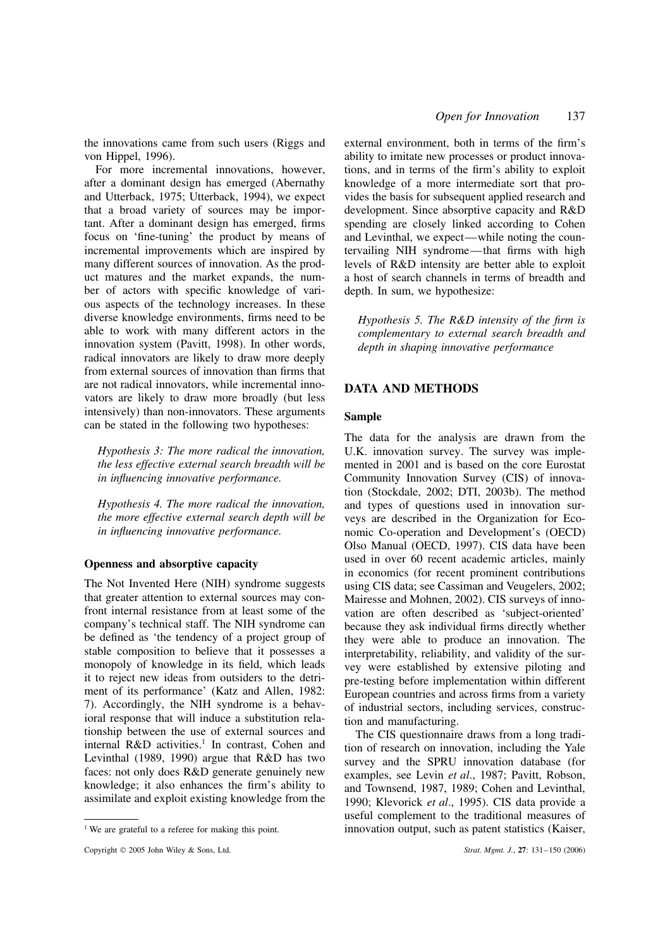the innovations came from such users (Riggs and von Hippel, 1996).

For more incremental innovations, however, after a dominant design has emerged (Abernathy and Utterback, 1975; Utterback, 1994), we expect that a broad variety of sources may be important. After a dominant design has emerged, firms focus on 'fine-tuning' the product by means of incremental improvements which are inspired by many different sources of innovation. As the product matures and the market expands, the number of actors with specific knowledge of various aspects of the technology increases. In these diverse knowledge environments, firms need to be able to work with many different actors in the innovation system (Pavitt, 1998). In other words, radical innovators are likely to draw more deeply from external sources of innovation than firms that are not radical innovators, while incremental innovators are likely to draw more broadly (but less intensively) than non-innovators. These arguments can be stated in the following two hypotheses:

*Hypothesis 3: The more radical the innovation, the less effective external search breadth will be in influencing innovative performance.*

*Hypothesis 4. The more radical the innovation, the more effective external search depth will be in influencing innovative performance.*

#### **Openness and absorptive capacity**

The Not Invented Here (NIH) syndrome suggests that greater attention to external sources may confront internal resistance from at least some of the company's technical staff. The NIH syndrome can be defined as 'the tendency of a project group of stable composition to believe that it possesses a monopoly of knowledge in its field, which leads it to reject new ideas from outsiders to the detriment of its performance' (Katz and Allen, 1982: 7). Accordingly, the NIH syndrome is a behavioral response that will induce a substitution relationship between the use of external sources and internal R&D activities.<sup>1</sup> In contrast, Cohen and Levinthal (1989, 1990) argue that R&D has two faces: not only does R&D generate genuinely new knowledge; it also enhances the firm's ability to assimilate and exploit existing knowledge from the external environment, both in terms of the firm's ability to imitate new processes or product innovations, and in terms of the firm's ability to exploit knowledge of a more intermediate sort that provides the basis for subsequent applied research and development. Since absorptive capacity and R&D spending are closely linked according to Cohen and Levinthal, we expect—while noting the countervailing NIH syndrome—that firms with high levels of R&D intensity are better able to exploit a host of search channels in terms of breadth and depth. In sum, we hypothesize:

*Hypothesis 5. The R&D intensity of the firm is complementary to external search breadth and depth in shaping innovative performance*

# **DATA AND METHODS**

#### **Sample**

The data for the analysis are drawn from the U.K. innovation survey. The survey was implemented in 2001 and is based on the core Eurostat Community Innovation Survey (CIS) of innovation (Stockdale, 2002; DTI, 2003b). The method and types of questions used in innovation surveys are described in the Organization for Economic Co-operation and Development's (OECD) Olso Manual (OECD, 1997). CIS data have been used in over 60 recent academic articles, mainly in economics (for recent prominent contributions using CIS data; see Cassiman and Veugelers, 2002; Mairesse and Mohnen, 2002). CIS surveys of innovation are often described as 'subject-oriented' because they ask individual firms directly whether they were able to produce an innovation. The interpretability, reliability, and validity of the survey were established by extensive piloting and pre-testing before implementation within different European countries and across firms from a variety of industrial sectors, including services, construction and manufacturing.

The CIS questionnaire draws from a long tradition of research on innovation, including the Yale survey and the SPRU innovation database (for examples, see Levin *et al*., 1987; Pavitt, Robson, and Townsend, 1987, 1989; Cohen and Levinthal, 1990; Klevorick *et al*., 1995). CIS data provide a useful complement to the traditional measures of innovation output, such as patent statistics (Kaiser,

<sup>&</sup>lt;sup>1</sup> We are grateful to a referee for making this point.

Copyright 2005 John Wiley & Sons, Ltd. *Strat. Mgmt. J.*, **27**: 131–150 (2006)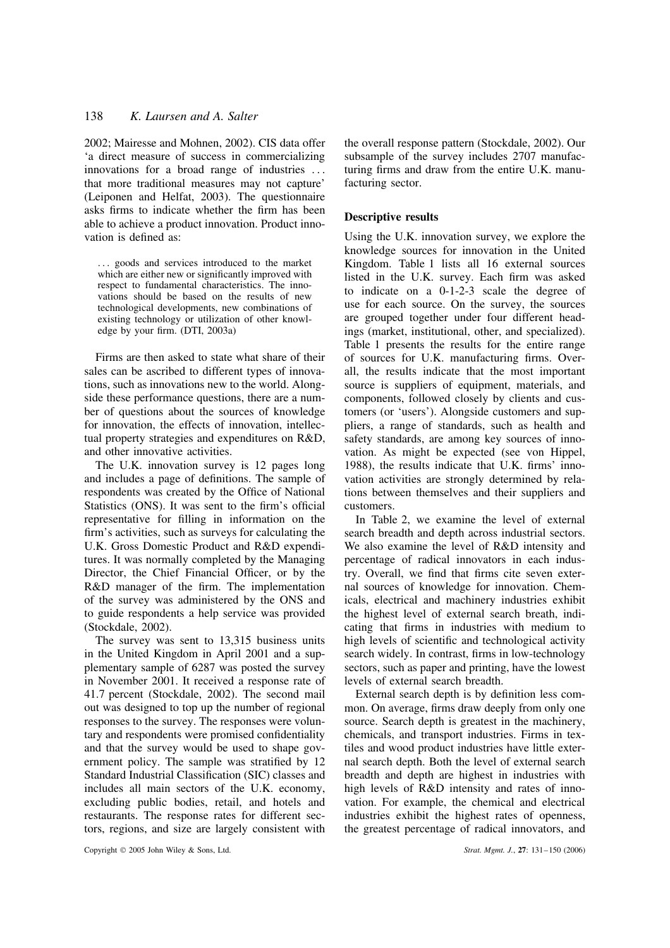2002; Mairesse and Mohnen, 2002). CIS data offer 'a direct measure of success in commercializing innovations for a broad range of industries *...* that more traditional measures may not capture' (Leiponen and Helfat, 2003). The questionnaire asks firms to indicate whether the firm has been able to achieve a product innovation. Product innovation is defined as:

*...* goods and services introduced to the market which are either new or significantly improved with respect to fundamental characteristics. The innovations should be based on the results of new technological developments, new combinations of existing technology or utilization of other knowledge by your firm. (DTI, 2003a)

Firms are then asked to state what share of their sales can be ascribed to different types of innovations, such as innovations new to the world. Alongside these performance questions, there are a number of questions about the sources of knowledge for innovation, the effects of innovation, intellectual property strategies and expenditures on R&D, and other innovative activities.

The U.K. innovation survey is 12 pages long and includes a page of definitions. The sample of respondents was created by the Office of National Statistics (ONS). It was sent to the firm's official representative for filling in information on the firm's activities, such as surveys for calculating the U.K. Gross Domestic Product and R&D expenditures. It was normally completed by the Managing Director, the Chief Financial Officer, or by the R&D manager of the firm. The implementation of the survey was administered by the ONS and to guide respondents a help service was provided (Stockdale, 2002).

The survey was sent to 13,315 business units in the United Kingdom in April 2001 and a supplementary sample of 6287 was posted the survey in November 2001. It received a response rate of 41.7 percent (Stockdale, 2002). The second mail out was designed to top up the number of regional responses to the survey. The responses were voluntary and respondents were promised confidentiality and that the survey would be used to shape government policy. The sample was stratified by 12 Standard Industrial Classification (SIC) classes and includes all main sectors of the U.K. economy, excluding public bodies, retail, and hotels and restaurants. The response rates for different sectors, regions, and size are largely consistent with the overall response pattern (Stockdale, 2002). Our subsample of the survey includes 2707 manufacturing firms and draw from the entire U.K. manufacturing sector.

#### **Descriptive results**

Using the U.K. innovation survey, we explore the knowledge sources for innovation in the United Kingdom. Table 1 lists all 16 external sources listed in the U.K. survey. Each firm was asked to indicate on a 0-1-2-3 scale the degree of use for each source. On the survey, the sources are grouped together under four different headings (market, institutional, other, and specialized). Table 1 presents the results for the entire range of sources for U.K. manufacturing firms. Overall, the results indicate that the most important source is suppliers of equipment, materials, and components, followed closely by clients and customers (or 'users'). Alongside customers and suppliers, a range of standards, such as health and safety standards, are among key sources of innovation. As might be expected (see von Hippel, 1988), the results indicate that U.K. firms' innovation activities are strongly determined by relations between themselves and their suppliers and customers.

In Table 2, we examine the level of external search breadth and depth across industrial sectors. We also examine the level of R&D intensity and percentage of radical innovators in each industry. Overall, we find that firms cite seven external sources of knowledge for innovation. Chemicals, electrical and machinery industries exhibit the highest level of external search breath, indicating that firms in industries with medium to high levels of scientific and technological activity search widely. In contrast, firms in low-technology sectors, such as paper and printing, have the lowest levels of external search breadth.

External search depth is by definition less common. On average, firms draw deeply from only one source. Search depth is greatest in the machinery, chemicals, and transport industries. Firms in textiles and wood product industries have little external search depth. Both the level of external search breadth and depth are highest in industries with high levels of R&D intensity and rates of innovation. For example, the chemical and electrical industries exhibit the highest rates of openness, the greatest percentage of radical innovators, and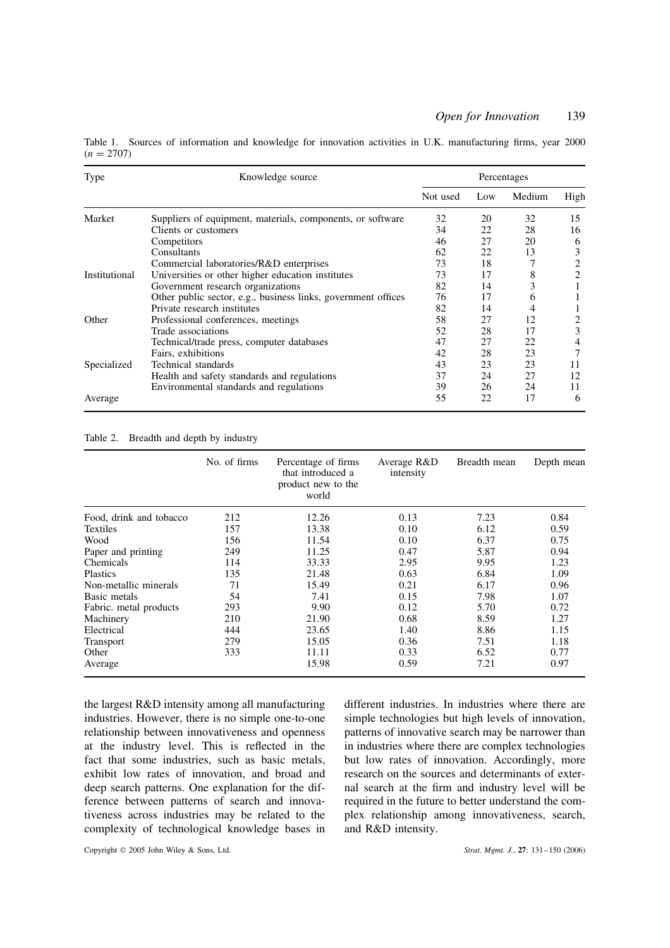| <b>Type</b>   | Knowledge source                                              | Percentages |     |        |      |  |
|---------------|---------------------------------------------------------------|-------------|-----|--------|------|--|
|               |                                                               | Not used    | Low | Medium | High |  |
| Market        | Suppliers of equipment, materials, components, or software    | 32          | 20  | 32     | 15   |  |
|               | Clients or customers                                          | 34          | 22  | 28     | 16   |  |
|               | Competitors                                                   | 46          | 27  | 20     | 6    |  |
|               | Consultants                                                   | 62          | 22  | 13     | 3    |  |
|               | Commercial laboratories/R&D enterprises                       | 73          | 18  |        |      |  |
| Institutional | Universities or other higher education institutes             | 73          | 17  | 8      | 2    |  |
|               | Government research organizations                             | 82          | 14  | 3      |      |  |
|               | Other public sector, e.g., business links, government offices | 76          | 17  | 6      |      |  |
|               | Private research institutes                                   | 82          | 14  | 4      |      |  |
| Other         | Professional conferences, meetings                            | 58          | 27  | 12     | 2    |  |
|               | Trade associations                                            | 52          | 28  | 17     | 3    |  |
|               | Technical/trade press, computer databases                     | 47          | 27  | 22     | 4    |  |
|               | Fairs, exhibitions                                            | 42          | 28  | 23     |      |  |
| Specialized   | Technical standards                                           | 43          | 23  | 23     | 11   |  |
|               | Health and safety standards and regulations                   | 37          | 24  | 27     | 12   |  |
|               | Environmental standards and regulations                       | 39          | 26  | 24     | 11   |  |
| Average       |                                                               | 55          | 22  | 17     | 6    |  |

Table 1. Sources of information and knowledge for innovation activities in U.K. manufacturing firms, year 2000  $(n = 2707)$ 

Table 2. Breadth and depth by industry

|                         | No. of firms | Percentage of firms<br>that introduced a<br>product new to the<br>world | Average R&D<br>intensity | Breadth mean | Depth mean |
|-------------------------|--------------|-------------------------------------------------------------------------|--------------------------|--------------|------------|
| Food, drink and tobacco | 212          | 12.26                                                                   | 0.13                     | 7.23         | 0.84       |
| <b>Textiles</b>         | 157          | 13.38                                                                   | 0.10                     | 6.12         | 0.59       |
| Wood                    | 156          | 11.54                                                                   | 0.10                     | 6.37         | 0.75       |
| Paper and printing      | 249          | 11.25                                                                   | 0.47                     | 5.87         | 0.94       |
| Chemicals               | 114          | 33.33                                                                   | 2.95                     | 9.95         | 1.23       |
| <b>Plastics</b>         | 135          | 21.48                                                                   | 0.63                     | 6.84         | 1.09       |
| Non-metallic minerals   | 71           | 15.49                                                                   | 0.21                     | 6.17         | 0.96       |
| Basic metals            | 54           | 7.41                                                                    | 0.15                     | 7.98         | 1.07       |
| Fabric. metal products  | 293          | 9.90                                                                    | 0.12                     | 5.70         | 0.72       |
| Machinery               | 210          | 21.90                                                                   | 0.68                     | 8.59         | 1.27       |
| Electrical              | 444          | 23.65                                                                   | 1.40                     | 8.86         | 1.15       |
| <b>Transport</b>        | 279          | 15.05                                                                   | 0.36                     | 7.51         | 1.18       |
| Other                   | 333          | 11.11                                                                   | 0.33                     | 6.52         | 0.77       |
| Average                 |              | 15.98                                                                   | 0.59                     | 7.21         | 0.97       |

the largest R&D intensity among all manufacturing industries. However, there is no simple one-to-one relationship between innovativeness and openness at the industry level. This is reflected in the fact that some industries, such as basic metals, exhibit low rates of innovation, and broad and deep search patterns. One explanation for the difference between patterns of search and innovativeness across industries may be related to the complexity of technological knowledge bases in different industries. In industries where there are simple technologies but high levels of innovation, patterns of innovative search may be narrower than in industries where there are complex technologies but low rates of innovation. Accordingly, more research on the sources and determinants of external search at the firm and industry level will be required in the future to better understand the complex relationship among innovativeness, search, and R&D intensity.

Copyright 2005 John Wiley & Sons, Ltd. *Strat. Mgmt. J.*, **27**: 131–150 (2006)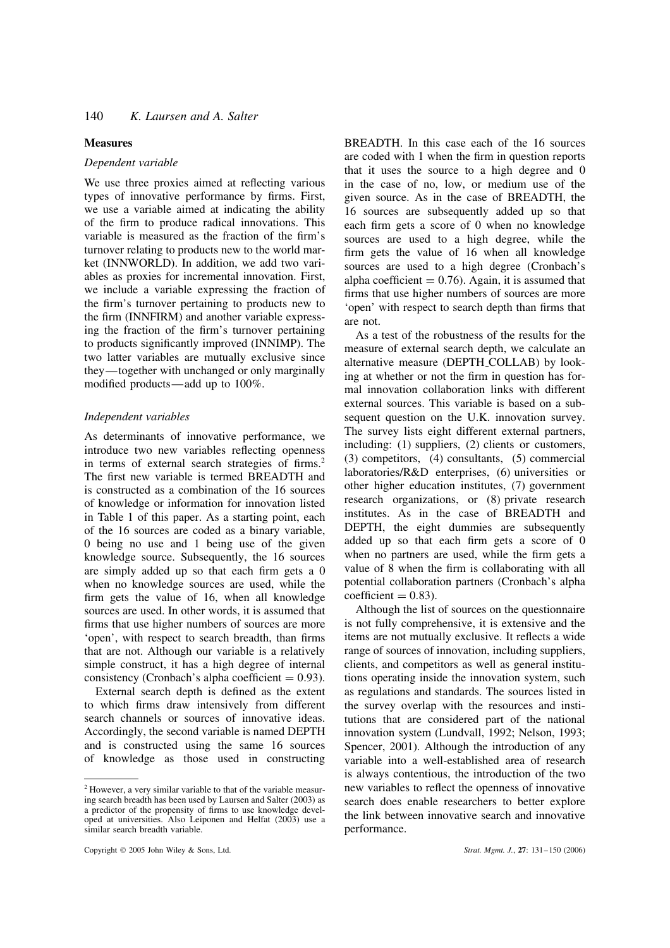#### **Measures**

#### *Dependent variable*

We use three proxies aimed at reflecting various types of innovative performance by firms. First, we use a variable aimed at indicating the ability of the firm to produce radical innovations. This variable is measured as the fraction of the firm's turnover relating to products new to the world market (INNWORLD). In addition, we add two variables as proxies for incremental innovation. First, we include a variable expressing the fraction of the firm's turnover pertaining to products new to the firm (INNFIRM) and another variable expressing the fraction of the firm's turnover pertaining to products significantly improved (INNIMP). The two latter variables are mutually exclusive since they—together with unchanged or only marginally modified products—add up to 100%.

#### *Independent variables*

As determinants of innovative performance, we introduce two new variables reflecting openness in terms of external search strategies of firms.<sup>2</sup> The first new variable is termed BREADTH and is constructed as a combination of the 16 sources of knowledge or information for innovation listed in Table 1 of this paper. As a starting point, each of the 16 sources are coded as a binary variable, 0 being no use and 1 being use of the given knowledge source. Subsequently, the 16 sources are simply added up so that each firm gets a 0 when no knowledge sources are used, while the firm gets the value of 16, when all knowledge sources are used. In other words, it is assumed that firms that use higher numbers of sources are more 'open', with respect to search breadth, than firms that are not. Although our variable is a relatively simple construct, it has a high degree of internal consistency (Cronbach's alpha coefficient  $= 0.93$ ).

External search depth is defined as the extent to which firms draw intensively from different search channels or sources of innovative ideas. Accordingly, the second variable is named DEPTH and is constructed using the same 16 sources of knowledge as those used in constructing BREADTH. In this case each of the 16 sources are coded with 1 when the firm in question reports that it uses the source to a high degree and 0 in the case of no, low, or medium use of the given source. As in the case of BREADTH, the 16 sources are subsequently added up so that each firm gets a score of 0 when no knowledge sources are used to a high degree, while the firm gets the value of 16 when all knowledge sources are used to a high degree (Cronbach's alpha coefficient  $= 0.76$ ). Again, it is assumed that firms that use higher numbers of sources are more 'open' with respect to search depth than firms that are not.

As a test of the robustness of the results for the measure of external search depth, we calculate an alternative measure (DEPTH COLLAB) by looking at whether or not the firm in question has formal innovation collaboration links with different external sources. This variable is based on a subsequent question on the U.K. innovation survey. The survey lists eight different external partners, including: (1) suppliers, (2) clients or customers, (3) competitors, (4) consultants, (5) commercial laboratories/R&D enterprises, (6) universities or other higher education institutes, (7) government research organizations, or (8) private research institutes. As in the case of BREADTH and DEPTH, the eight dummies are subsequently added up so that each firm gets a score of 0 when no partners are used, while the firm gets a value of 8 when the firm is collaborating with all potential collaboration partners (Cronbach's alpha coefficient  $= 0.83$ ).

Although the list of sources on the questionnaire is not fully comprehensive, it is extensive and the items are not mutually exclusive. It reflects a wide range of sources of innovation, including suppliers, clients, and competitors as well as general institutions operating inside the innovation system, such as regulations and standards. The sources listed in the survey overlap with the resources and institutions that are considered part of the national innovation system (Lundvall, 1992; Nelson, 1993; Spencer, 2001). Although the introduction of any variable into a well-established area of research is always contentious, the introduction of the two new variables to reflect the openness of innovative search does enable researchers to better explore the link between innovative search and innovative performance.

<sup>2</sup> However, a very similar variable to that of the variable measuring search breadth has been used by Laursen and Salter (2003) as a predictor of the propensity of firms to use knowledge developed at universities. Also Leiponen and Helfat (2003) use a similar search breadth variable.

Copyright 2005 John Wiley & Sons, Ltd. *Strat. Mgmt. J.*, **27**: 131–150 (2006)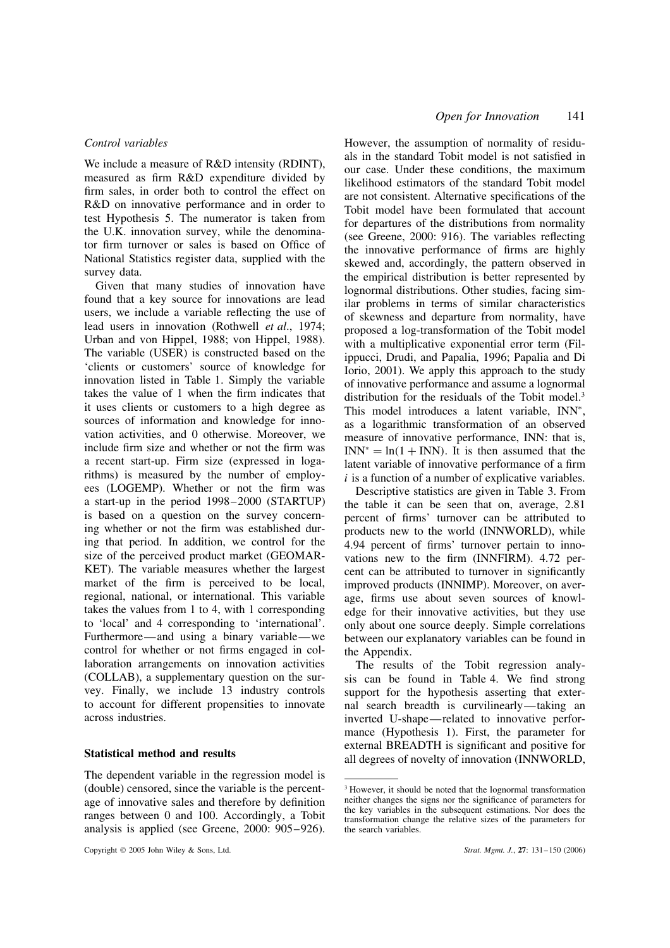#### *Control variables*

We include a measure of R&D intensity (RDINT), measured as firm R&D expenditure divided by firm sales, in order both to control the effect on R&D on innovative performance and in order to test Hypothesis 5. The numerator is taken from the U.K. innovation survey, while the denominator firm turnover or sales is based on Office of National Statistics register data, supplied with the survey data.

Given that many studies of innovation have found that a key source for innovations are lead users, we include a variable reflecting the use of lead users in innovation (Rothwell *et al*., 1974; Urban and von Hippel, 1988; von Hippel, 1988). The variable (USER) is constructed based on the 'clients or customers' source of knowledge for innovation listed in Table 1. Simply the variable takes the value of 1 when the firm indicates that it uses clients or customers to a high degree as sources of information and knowledge for innovation activities, and 0 otherwise. Moreover, we include firm size and whether or not the firm was a recent start-up. Firm size (expressed in logarithms) is measured by the number of employees (LOGEMP). Whether or not the firm was a start-up in the period 1998–2000 (STARTUP) is based on a question on the survey concerning whether or not the firm was established during that period. In addition, we control for the size of the perceived product market (GEOMAR-KET). The variable measures whether the largest market of the firm is perceived to be local, regional, national, or international. This variable takes the values from 1 to 4, with 1 corresponding to 'local' and 4 corresponding to 'international'. Furthermore—and using a binary variable—we control for whether or not firms engaged in collaboration arrangements on innovation activities (COLLAB), a supplementary question on the survey. Finally, we include 13 industry controls to account for different propensities to innovate across industries.

#### **Statistical method and results**

The dependent variable in the regression model is (double) censored, since the variable is the percentage of innovative sales and therefore by definition ranges between 0 and 100. Accordingly, a Tobit analysis is applied (see Greene, 2000: 905–926).

However, the assumption of normality of residuals in the standard Tobit model is not satisfied in our case. Under these conditions, the maximum likelihood estimators of the standard Tobit model are not consistent. Alternative specifications of the Tobit model have been formulated that account for departures of the distributions from normality (see Greene, 2000: 916). The variables reflecting the innovative performance of firms are highly skewed and, accordingly, the pattern observed in the empirical distribution is better represented by lognormal distributions. Other studies, facing similar problems in terms of similar characteristics of skewness and departure from normality, have proposed a log-transformation of the Tobit model with a multiplicative exponential error term (Filippucci, Drudi, and Papalia, 1996; Papalia and Di Iorio, 2001). We apply this approach to the study of innovative performance and assume a lognormal distribution for the residuals of the Tobit model. $3$ This model introduces a latent variable, INN<sup>∗</sup> , as a logarithmic transformation of an observed measure of innovative performance, INN: that is,  $INN^* = ln(1 + INN)$ . It is then assumed that the latent variable of innovative performance of a firm *i* is a function of a number of explicative variables.

Descriptive statistics are given in Table 3. From the table it can be seen that on, average, 2.81 percent of firms' turnover can be attributed to products new to the world (INNWORLD), while 4.94 percent of firms' turnover pertain to innovations new to the firm (INNFIRM). 4.72 percent can be attributed to turnover in significantly improved products (INNIMP). Moreover, on average, firms use about seven sources of knowledge for their innovative activities, but they use only about one source deeply. Simple correlations between our explanatory variables can be found in the Appendix.

The results of the Tobit regression analysis can be found in Table 4. We find strong support for the hypothesis asserting that external search breadth is curvilinearly—taking an inverted U-shape—related to innovative performance (Hypothesis 1). First, the parameter for external BREADTH is significant and positive for all degrees of novelty of innovation (INNWORLD,

Copyright 2005 John Wiley & Sons, Ltd. *Strat. Mgmt. J.*, **27**: 131–150 (2006)

<sup>&</sup>lt;sup>3</sup> However, it should be noted that the lognormal transformation neither changes the signs nor the significance of parameters for the key variables in the subsequent estimations. Nor does the transformation change the relative sizes of the parameters for the search variables.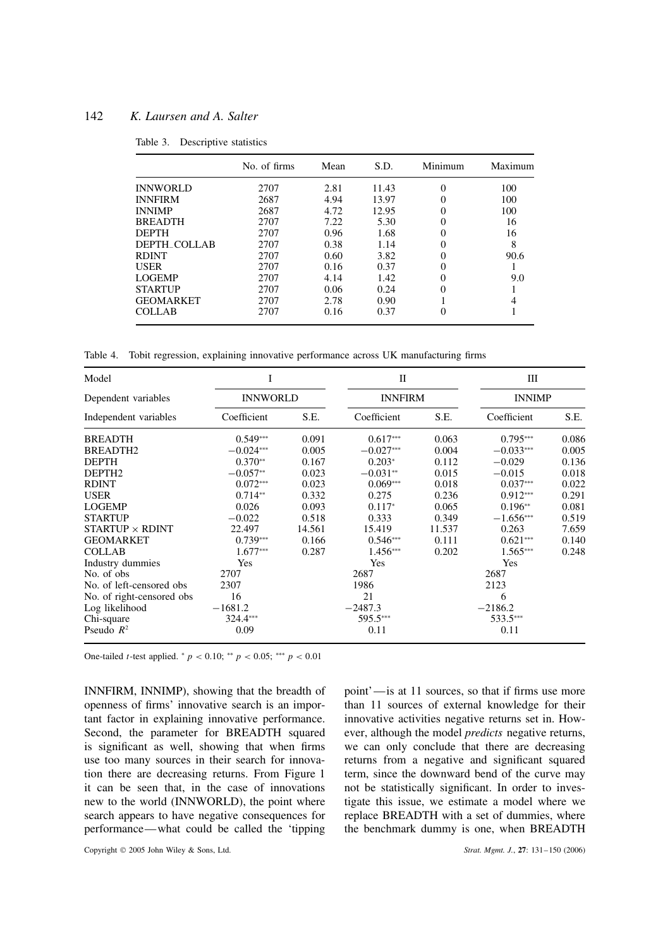|                  | No. of firms | Mean | S.D.  | Minimum | Maximum |
|------------------|--------------|------|-------|---------|---------|
| <b>INNWORLD</b>  | 2707         | 2.81 | 11.43 | 0       | 100     |
| <b>INNFIRM</b>   | 2687         | 4.94 | 13.97 |         | 100     |
| <b>INNIMP</b>    | 2687         | 4.72 | 12.95 |         | 100     |
| <b>BREADTH</b>   | 2707         | 7.22 | 5.30  |         | 16      |
| <b>DEPTH</b>     | 2707         | 0.96 | 1.68  |         | 16      |
| DEPTH COLLAB     | 2707         | 0.38 | 1.14  |         | 8       |
| <b>RDINT</b>     | 2707         | 0.60 | 3.82  |         | 90.6    |
| <b>USER</b>      | 2707         | 0.16 | 0.37  |         |         |
| <b>LOGEMP</b>    | 2707         | 4.14 | 1.42  |         | 9.0     |
| <b>STARTUP</b>   | 2707         | 0.06 | 0.24  |         |         |
| <b>GEOMARKET</b> | 2707         | 2.78 | 0.90  |         | 4       |
| <b>COLLAB</b>    | 2707         | 0.16 | 0.37  |         |         |

Table 4. Tobit regression, explaining innovative performance across UK manufacturing firms

| Model                            | I           |                 | $\mathbf{I}$ |                | Ш             |       |  |
|----------------------------------|-------------|-----------------|--------------|----------------|---------------|-------|--|
| Dependent variables              |             | <b>INNWORLD</b> |              | <b>INNFIRM</b> | <b>INNIMP</b> |       |  |
| Independent variables            | Coefficient | S.E.            | Coefficient  | S.E.           | Coefficient   | S.E.  |  |
| <b>BREADTH</b>                   | $0.549***$  | 0.091           | $0.617***$   | 0.063          | $0.795***$    | 0.086 |  |
| <b>BREADTH2</b>                  | $-0.024***$ | 0.005           | $-0.027***$  | 0.004          | $-0.033***$   | 0.005 |  |
| <b>DEPTH</b>                     | $0.370**$   | 0.167           | $0.203*$     | 0.112          | $-0.029$      | 0.136 |  |
| DEPTH <sub>2</sub>               | $-0.057**$  | 0.023           | $-0.031**$   | 0.015          | $-0.015$      | 0.018 |  |
| <b>RDINT</b>                     | $0.072***$  | 0.023           | $0.069***$   | 0.018          | $0.037***$    | 0.022 |  |
| <b>USER</b>                      | $0.714**$   | 0.332           | 0.275        | 0.236          | $0.912***$    | 0.291 |  |
| <b>LOGEMP</b>                    | 0.026       | 0.093           | $0.117*$     | 0.065          | $0.196**$     | 0.081 |  |
| <b>STARTUP</b>                   | $-0.022$    | 0.518           | 0.333        | 0.349          | $-1.656***$   | 0.519 |  |
| STARTUP $\times$ RDINT           | 22.497      | 14.561          | 15.419       | 11.537         | 0.263         | 7.659 |  |
| <b>GEOMARKET</b>                 | $0.739***$  | 0.166           | $0.546***$   | 0.111          | $0.621***$    | 0.140 |  |
| <b>COLLAB</b>                    | $1.677***$  | 0.287           | $1.456***$   | 0.202          | $1.565***$    | 0.248 |  |
| Industry dummies                 | Yes         |                 | Yes          |                | Yes           |       |  |
| No. of obs                       | 2707        | 2687            |              |                | 2687          |       |  |
| No. of left-censored obs         | 2307        | 1986            |              |                | 2123          |       |  |
| No. of right-censored obs.<br>16 |             | 21              |              |                | 6             |       |  |
| Log likelihood<br>$-1681.2$      |             | $-2487.3$       |              | $-2186.2$      |               |       |  |
| Chi-square                       | 324.4***    | 595.5***        |              |                | 533.5***      |       |  |
| Pseudo $R^2$                     | 0.09        |                 | 0.11         | 0.11           |               |       |  |

One-tailed *t*-test applied. <sup>∗</sup> *p <* 0*.*10; ∗∗ *p <* 0*.*05; ∗∗∗ *p <* 0*.*01

INNFIRM, INNIMP), showing that the breadth of openness of firms' innovative search is an important factor in explaining innovative performance. Second, the parameter for BREADTH squared is significant as well, showing that when firms use too many sources in their search for innovation there are decreasing returns. From Figure 1 it can be seen that, in the case of innovations new to the world (INNWORLD), the point where search appears to have negative consequences for performance—what could be called the 'tipping point'—is at 11 sources, so that if firms use more than 11 sources of external knowledge for their innovative activities negative returns set in. However, although the model *predicts* negative returns, we can only conclude that there are decreasing returns from a negative and significant squared term, since the downward bend of the curve may not be statistically significant. In order to investigate this issue, we estimate a model where we replace BREADTH with a set of dummies, where the benchmark dummy is one, when BREADTH

Copyright 2005 John Wiley & Sons, Ltd. *Strat. Mgmt. J.*, **27**: 131–150 (2006)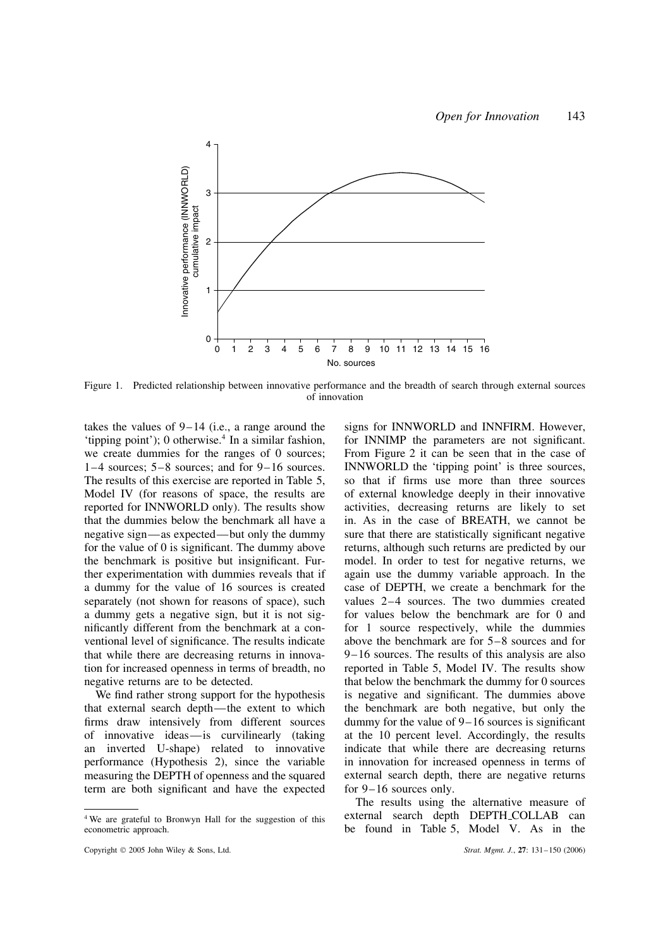

Figure 1. Predicted relationship between innovative performance and the breadth of search through external sources of innovation

takes the values of  $9-14$  (i.e., a range around the 'tipping point'); 0 otherwise. $4 \text{ In a similar fashion},$ we create dummies for the ranges of 0 sources; 1–4 sources; 5–8 sources; and for 9–16 sources. The results of this exercise are reported in Table 5, Model IV (for reasons of space, the results are reported for INNWORLD only). The results show that the dummies below the benchmark all have a negative sign—as expected—but only the dummy for the value of 0 is significant. The dummy above the benchmark is positive but insignificant. Further experimentation with dummies reveals that if a dummy for the value of 16 sources is created separately (not shown for reasons of space), such a dummy gets a negative sign, but it is not significantly different from the benchmark at a conventional level of significance. The results indicate that while there are decreasing returns in innovation for increased openness in terms of breadth, no negative returns are to be detected.

We find rather strong support for the hypothesis that external search depth—the extent to which firms draw intensively from different sources of innovative ideas—is curvilinearly (taking an inverted U-shape) related to innovative performance (Hypothesis 2), since the variable measuring the DEPTH of openness and the squared term are both significant and have the expected signs for INNWORLD and INNFIRM. However, for INNIMP the parameters are not significant. From Figure 2 it can be seen that in the case of INNWORLD the 'tipping point' is three sources, so that if firms use more than three sources of external knowledge deeply in their innovative activities, decreasing returns are likely to set in. As in the case of BREATH, we cannot be sure that there are statistically significant negative returns, although such returns are predicted by our model. In order to test for negative returns, we again use the dummy variable approach. In the case of DEPTH, we create a benchmark for the values 2–4 sources. The two dummies created for values below the benchmark are for 0 and for 1 source respectively, while the dummies above the benchmark are for 5–8 sources and for 9–16 sources. The results of this analysis are also reported in Table 5, Model IV. The results show that below the benchmark the dummy for 0 sources is negative and significant. The dummies above the benchmark are both negative, but only the dummy for the value of 9–16 sources is significant at the 10 percent level. Accordingly, the results indicate that while there are decreasing returns in innovation for increased openness in terms of external search depth, there are negative returns for 9–16 sources only.

The results using the alternative measure of external search depth DEPTH COLLAB can be found in Table 5, Model V. As in the

<sup>4</sup> We are grateful to Bronwyn Hall for the suggestion of this econometric approach.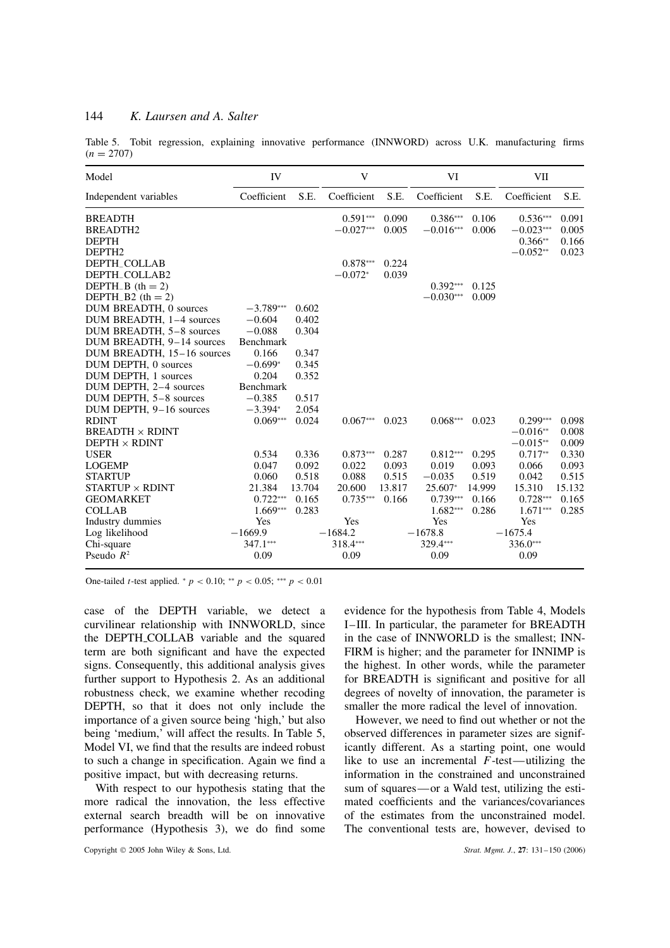Table 5. Tobit regression, explaining innovative performance (INNWORD) across U.K. manufacturing firms  $(n = 2707)$ 

| Model                         | IV               |        | $\mathbf V$ |        | VI          |        | VII         |        |
|-------------------------------|------------------|--------|-------------|--------|-------------|--------|-------------|--------|
| Independent variables         | Coefficient      | S.E.   | Coefficient | S.E.   | Coefficient | S.E.   | Coefficient | S.E.   |
| <b>BREADTH</b>                |                  |        | $0.591***$  | 0.090  | $0.386***$  | 0.106  | $0.536***$  | 0.091  |
| <b>BREADTH2</b>               |                  |        | $-0.027***$ | 0.005  | $-0.016***$ | 0.006  | $-0.023***$ | 0.005  |
| <b>DEPTH</b>                  |                  |        |             |        |             |        | $0.366**$   | 0.166  |
| DEPTH <sub>2</sub>            |                  |        |             |        |             |        | $-0.052**$  | 0.023  |
| DEPTH_COLLAB                  |                  |        | $0.878***$  | 0.224  |             |        |             |        |
| DEPTH_COLLAB2                 |                  |        | $-0.072*$   | 0.039  |             |        |             |        |
| DEPTH_B $(th = 2)$            |                  |        |             |        | $0.392***$  | 0.125  |             |        |
| DEPTH_B2 $(th = 2)$           |                  |        |             |        | $-0.030***$ | 0.009  |             |        |
| DUM BREADTH, 0 sources        | $-3.789***$      | 0.602  |             |        |             |        |             |        |
| DUM BREADTH, 1-4 sources      | $-0.604$         | 0.402  |             |        |             |        |             |        |
| DUM BREADTH, 5-8 sources      | $-0.088$         | 0.304  |             |        |             |        |             |        |
| DUM BREADTH, 9-14 sources     | <b>Benchmark</b> |        |             |        |             |        |             |        |
| DUM BREADTH, 15-16 sources    | 0.166            | 0.347  |             |        |             |        |             |        |
| DUM DEPTH, 0 sources          | $-0.699*$        | 0.345  |             |        |             |        |             |        |
| DUM DEPTH, 1 sources          | 0.204            | 0.352  |             |        |             |        |             |        |
| DUM DEPTH, 2-4 sources        | <b>Benchmark</b> |        |             |        |             |        |             |        |
| DUM DEPTH, 5-8 sources        | $-0.385$         | 0.517  |             |        |             |        |             |        |
| DUM DEPTH, 9-16 sources       | $-3.394*$        | 2.054  |             |        |             |        |             |        |
| <b>RDINT</b>                  | $0.069***$       | 0.024  | $0.067***$  | 0.023  | $0.068***$  | 0.023  | $0.299***$  | 0.098  |
| <b>BREADTH</b> $\times$ RDINT |                  |        |             |        |             |        | $-0.016**$  | 0.008  |
| $DEF H \times R$ DINT         |                  |        |             |        |             |        | $-0.015**$  | 0.009  |
| <b>USER</b>                   | 0.534            | 0.336  | $0.873***$  | 0.287  | $0.812***$  | 0.295  | $0.717**$   | 0.330  |
| <b>LOGEMP</b>                 | 0.047            | 0.092  | 0.022       | 0.093  | 0.019       | 0.093  | 0.066       | 0.093  |
| <b>STARTUP</b>                | 0.060            | 0.518  | 0.088       | 0.515  | $-0.035$    | 0.519  | 0.042       | 0.515  |
| STARTUP $\times$ RDINT        | 21.384           | 13.704 | 20.600      | 13.817 | 25.607*     | 14.999 | 15.310      | 15.132 |
| <b>GEOMARKET</b>              | $0.722***$       | 0.165  | $0.735***$  | 0.166  | $0.739***$  | 0.166  | $0.728***$  | 0.165  |
| <b>COLLAB</b>                 | $1.669***$       | 0.283  |             |        | $1.682***$  | 0.286  | $1.671***$  | 0.285  |
| Industry dummies              | Yes              |        | Yes         |        | Yes         |        | Yes         |        |
| Log likelihood                | $-1669.9$        |        | $-1684.2$   |        | $-1678.8$   |        | $-1675.4$   |        |
| Chi-square                    | 347.1***         |        | 318.4***    |        | 329.4***    |        | 336.0***    |        |
| Pseudo $R^2$                  | 0.09             |        | 0.09        |        | 0.09        |        | 0.09        |        |

One-tailed *t*-test applied. \*  $p < 0.10$ ; \*\*  $p < 0.05$ ; \*\*\*  $p < 0.01$ 

case of the DEPTH variable, we detect a curvilinear relationship with INNWORLD, since the DEPTH COLLAB variable and the squared term are both significant and have the expected signs. Consequently, this additional analysis gives further support to Hypothesis 2. As an additional robustness check, we examine whether recoding DEPTH, so that it does not only include the importance of a given source being 'high,' but also being 'medium,' will affect the results. In Table 5, Model VI, we find that the results are indeed robust to such a change in specification. Again we find a positive impact, but with decreasing returns.

With respect to our hypothesis stating that the more radical the innovation, the less effective external search breadth will be on innovative performance (Hypothesis 3), we do find some evidence for the hypothesis from Table 4, Models I–III. In particular, the parameter for BREADTH in the case of INNWORLD is the smallest; INN-FIRM is higher; and the parameter for INNIMP is the highest. In other words, while the parameter for BREADTH is significant and positive for all degrees of novelty of innovation, the parameter is smaller the more radical the level of innovation.

However, we need to find out whether or not the observed differences in parameter sizes are significantly different. As a starting point, one would like to use an incremental *F*-test—utilizing the information in the constrained and unconstrained sum of squares—or a Wald test, utilizing the estimated coefficients and the variances/covariances of the estimates from the unconstrained model. The conventional tests are, however, devised to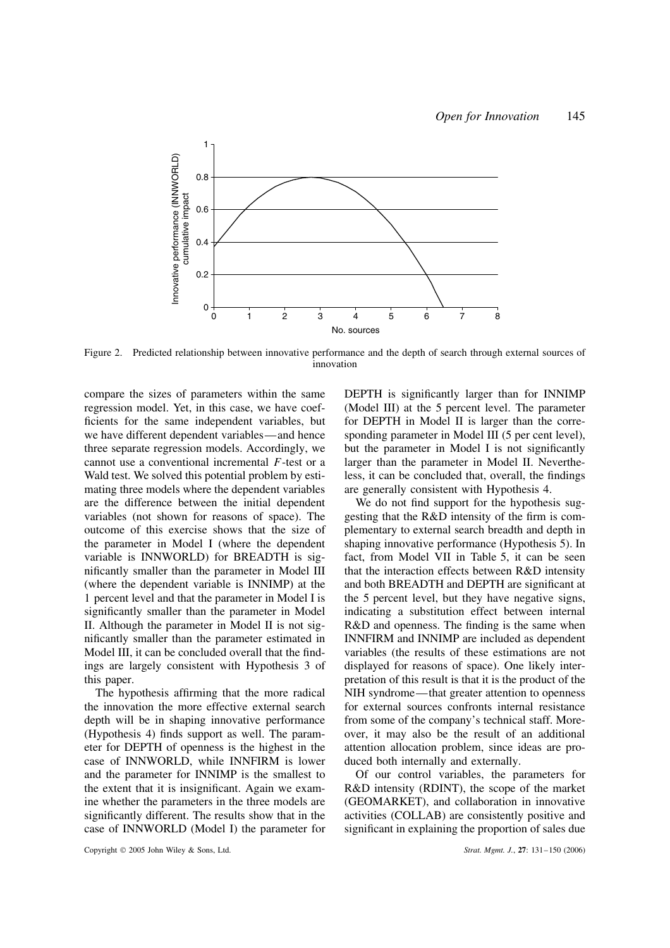

Figure 2. Predicted relationship between innovative performance and the depth of search through external sources of innovation

compare the sizes of parameters within the same regression model. Yet, in this case, we have coefficients for the same independent variables, but we have different dependent variables—and hence three separate regression models. Accordingly, we cannot use a conventional incremental *F*-test or a Wald test. We solved this potential problem by estimating three models where the dependent variables are the difference between the initial dependent variables (not shown for reasons of space). The outcome of this exercise shows that the size of the parameter in Model I (where the dependent variable is INNWORLD) for BREADTH is significantly smaller than the parameter in Model III (where the dependent variable is INNIMP) at the 1 percent level and that the parameter in Model I is significantly smaller than the parameter in Model II. Although the parameter in Model II is not significantly smaller than the parameter estimated in Model III, it can be concluded overall that the findings are largely consistent with Hypothesis 3 of this paper.

The hypothesis affirming that the more radical the innovation the more effective external search depth will be in shaping innovative performance (Hypothesis 4) finds support as well. The parameter for DEPTH of openness is the highest in the case of INNWORLD, while INNFIRM is lower and the parameter for INNIMP is the smallest to the extent that it is insignificant. Again we examine whether the parameters in the three models are significantly different. The results show that in the case of INNWORLD (Model I) the parameter for

DEPTH is significantly larger than for INNIMP (Model III) at the 5 percent level. The parameter for DEPTH in Model II is larger than the corresponding parameter in Model III (5 per cent level), but the parameter in Model I is not significantly larger than the parameter in Model II. Nevertheless, it can be concluded that, overall, the findings are generally consistent with Hypothesis 4.

We do not find support for the hypothesis suggesting that the R&D intensity of the firm is complementary to external search breadth and depth in shaping innovative performance (Hypothesis 5). In fact, from Model VII in Table 5, it can be seen that the interaction effects between R&D intensity and both BREADTH and DEPTH are significant at the 5 percent level, but they have negative signs, indicating a substitution effect between internal R&D and openness. The finding is the same when INNFIRM and INNIMP are included as dependent variables (the results of these estimations are not displayed for reasons of space). One likely interpretation of this result is that it is the product of the NIH syndrome—that greater attention to openness for external sources confronts internal resistance from some of the company's technical staff. Moreover, it may also be the result of an additional attention allocation problem, since ideas are produced both internally and externally.

Of our control variables, the parameters for R&D intensity (RDINT), the scope of the market (GEOMARKET), and collaboration in innovative activities (COLLAB) are consistently positive and significant in explaining the proportion of sales due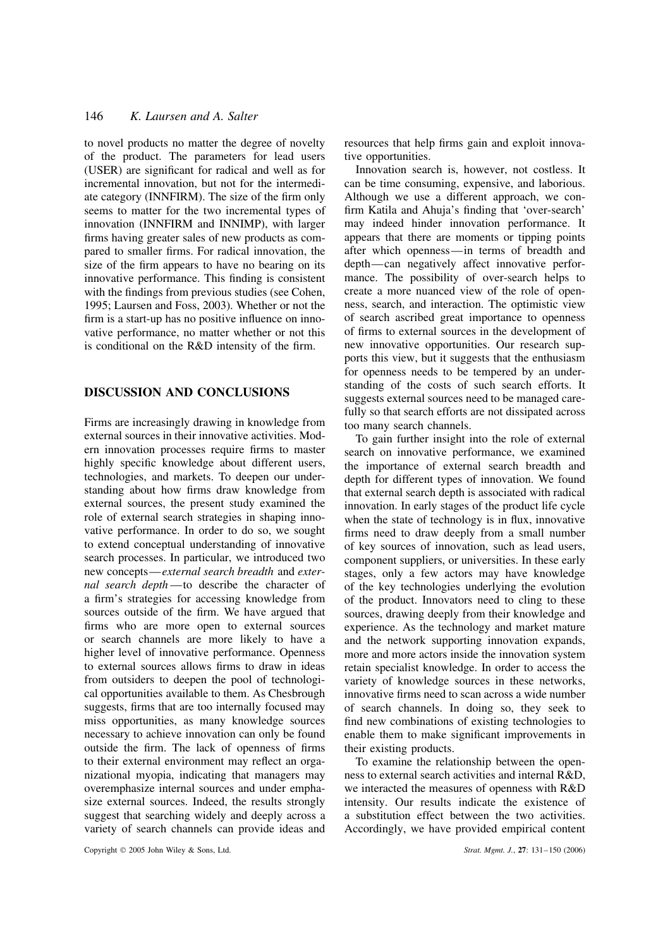to novel products no matter the degree of novelty of the product. The parameters for lead users (USER) are significant for radical and well as for incremental innovation, but not for the intermediate category (INNFIRM). The size of the firm only seems to matter for the two incremental types of innovation (INNFIRM and INNIMP), with larger firms having greater sales of new products as compared to smaller firms. For radical innovation, the size of the firm appears to have no bearing on its innovative performance. This finding is consistent with the findings from previous studies (see Cohen, 1995; Laursen and Foss, 2003). Whether or not the firm is a start-up has no positive influence on innovative performance, no matter whether or not this is conditional on the R&D intensity of the firm.

# **DISCUSSION AND CONCLUSIONS**

Firms are increasingly drawing in knowledge from external sources in their innovative activities. Modern innovation processes require firms to master highly specific knowledge about different users, technologies, and markets. To deepen our understanding about how firms draw knowledge from external sources, the present study examined the role of external search strategies in shaping innovative performance. In order to do so, we sought to extend conceptual understanding of innovative search processes. In particular, we introduced two new concepts—*external search breadth* and *external search depth* —to describe the character of a firm's strategies for accessing knowledge from sources outside of the firm. We have argued that firms who are more open to external sources or search channels are more likely to have a higher level of innovative performance. Openness to external sources allows firms to draw in ideas from outsiders to deepen the pool of technological opportunities available to them. As Chesbrough suggests, firms that are too internally focused may miss opportunities, as many knowledge sources necessary to achieve innovation can only be found outside the firm. The lack of openness of firms to their external environment may reflect an organizational myopia, indicating that managers may overemphasize internal sources and under emphasize external sources. Indeed, the results strongly suggest that searching widely and deeply across a variety of search channels can provide ideas and resources that help firms gain and exploit innovative opportunities.

Innovation search is, however, not costless. It can be time consuming, expensive, and laborious. Although we use a different approach, we confirm Katila and Ahuja's finding that 'over-search' may indeed hinder innovation performance. It appears that there are moments or tipping points after which openness—in terms of breadth and depth—can negatively affect innovative performance. The possibility of over-search helps to create a more nuanced view of the role of openness, search, and interaction. The optimistic view of search ascribed great importance to openness of firms to external sources in the development of new innovative opportunities. Our research supports this view, but it suggests that the enthusiasm for openness needs to be tempered by an understanding of the costs of such search efforts. It suggests external sources need to be managed carefully so that search efforts are not dissipated across too many search channels.

To gain further insight into the role of external search on innovative performance, we examined the importance of external search breadth and depth for different types of innovation. We found that external search depth is associated with radical innovation. In early stages of the product life cycle when the state of technology is in flux, innovative firms need to draw deeply from a small number of key sources of innovation, such as lead users, component suppliers, or universities. In these early stages, only a few actors may have knowledge of the key technologies underlying the evolution of the product. Innovators need to cling to these sources, drawing deeply from their knowledge and experience. As the technology and market mature and the network supporting innovation expands, more and more actors inside the innovation system retain specialist knowledge. In order to access the variety of knowledge sources in these networks, innovative firms need to scan across a wide number of search channels. In doing so, they seek to find new combinations of existing technologies to enable them to make significant improvements in their existing products.

To examine the relationship between the openness to external search activities and internal R&D, we interacted the measures of openness with R&D intensity. Our results indicate the existence of a substitution effect between the two activities. Accordingly, we have provided empirical content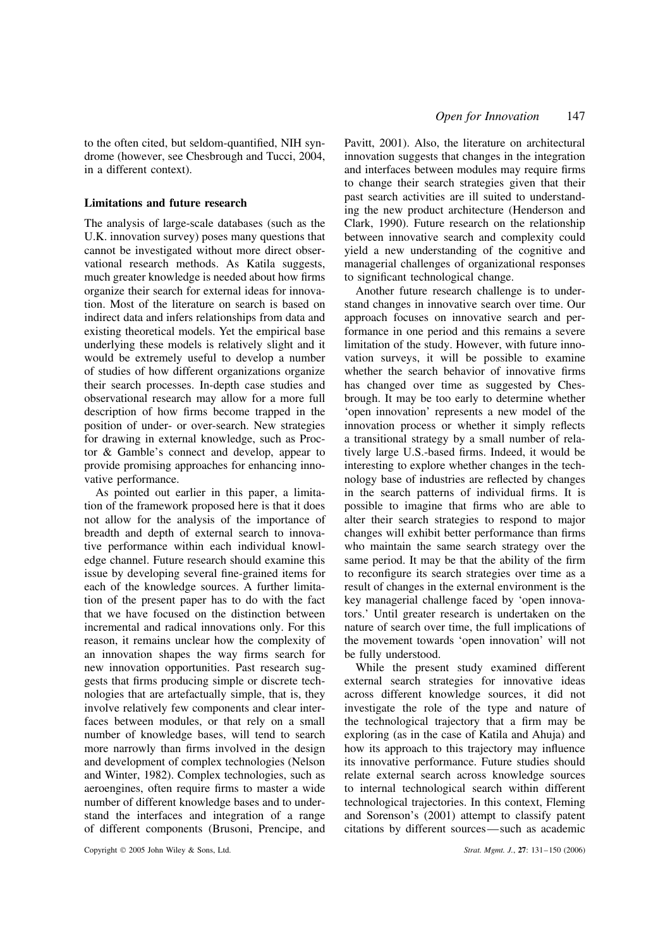to the often cited, but seldom-quantified, NIH syndrome (however, see Chesbrough and Tucci, 2004, in a different context).

### **Limitations and future research**

The analysis of large-scale databases (such as the U.K. innovation survey) poses many questions that cannot be investigated without more direct observational research methods. As Katila suggests, much greater knowledge is needed about how firms organize their search for external ideas for innovation. Most of the literature on search is based on indirect data and infers relationships from data and existing theoretical models. Yet the empirical base underlying these models is relatively slight and it would be extremely useful to develop a number of studies of how different organizations organize their search processes. In-depth case studies and observational research may allow for a more full description of how firms become trapped in the position of under- or over-search. New strategies for drawing in external knowledge, such as Proctor & Gamble's connect and develop, appear to provide promising approaches for enhancing innovative performance.

As pointed out earlier in this paper, a limitation of the framework proposed here is that it does not allow for the analysis of the importance of breadth and depth of external search to innovative performance within each individual knowledge channel. Future research should examine this issue by developing several fine-grained items for each of the knowledge sources. A further limitation of the present paper has to do with the fact that we have focused on the distinction between incremental and radical innovations only. For this reason, it remains unclear how the complexity of an innovation shapes the way firms search for new innovation opportunities. Past research suggests that firms producing simple or discrete technologies that are artefactually simple, that is, they involve relatively few components and clear interfaces between modules, or that rely on a small number of knowledge bases, will tend to search more narrowly than firms involved in the design and development of complex technologies (Nelson and Winter, 1982). Complex technologies, such as aeroengines, often require firms to master a wide number of different knowledge bases and to understand the interfaces and integration of a range of different components (Brusoni, Prencipe, and Pavitt, 2001). Also, the literature on architectural innovation suggests that changes in the integration and interfaces between modules may require firms to change their search strategies given that their past search activities are ill suited to understanding the new product architecture (Henderson and Clark, 1990). Future research on the relationship between innovative search and complexity could yield a new understanding of the cognitive and managerial challenges of organizational responses to significant technological change.

Another future research challenge is to understand changes in innovative search over time. Our approach focuses on innovative search and performance in one period and this remains a severe limitation of the study. However, with future innovation surveys, it will be possible to examine whether the search behavior of innovative firms has changed over time as suggested by Chesbrough. It may be too early to determine whether 'open innovation' represents a new model of the innovation process or whether it simply reflects a transitional strategy by a small number of relatively large U.S.-based firms. Indeed, it would be interesting to explore whether changes in the technology base of industries are reflected by changes in the search patterns of individual firms. It is possible to imagine that firms who are able to alter their search strategies to respond to major changes will exhibit better performance than firms who maintain the same search strategy over the same period. It may be that the ability of the firm to reconfigure its search strategies over time as a result of changes in the external environment is the key managerial challenge faced by 'open innovators.' Until greater research is undertaken on the nature of search over time, the full implications of the movement towards 'open innovation' will not be fully understood.

While the present study examined different external search strategies for innovative ideas across different knowledge sources, it did not investigate the role of the type and nature of the technological trajectory that a firm may be exploring (as in the case of Katila and Ahuja) and how its approach to this trajectory may influence its innovative performance. Future studies should relate external search across knowledge sources to internal technological search within different technological trajectories. In this context, Fleming and Sorenson's (2001) attempt to classify patent citations by different sources—such as academic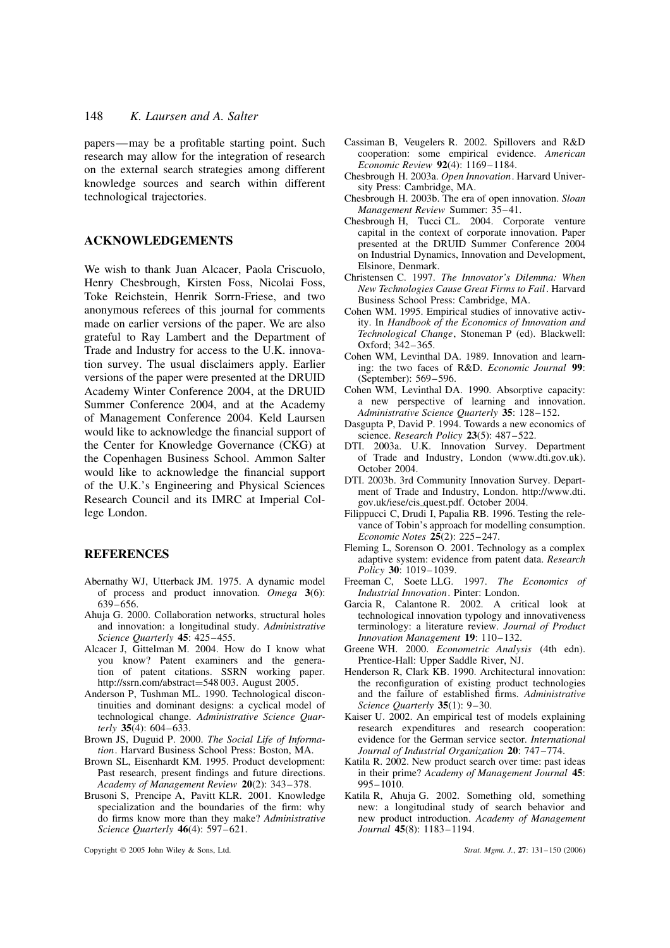papers—may be a profitable starting point. Such research may allow for the integration of research on the external search strategies among different knowledge sources and search within different technological trajectories.

# **ACKNOWLEDGEMENTS**

We wish to thank Juan Alcacer, Paola Criscuolo, Henry Chesbrough, Kirsten Foss, Nicolai Foss, Toke Reichstein, Henrik Sorrn-Friese, and two anonymous referees of this journal for comments made on earlier versions of the paper. We are also grateful to Ray Lambert and the Department of Trade and Industry for access to the U.K. innovation survey. The usual disclaimers apply. Earlier versions of the paper were presented at the DRUID Academy Winter Conference 2004, at the DRUID Summer Conference 2004, and at the Academy of Management Conference 2004. Keld Laursen would like to acknowledge the financial support of the Center for Knowledge Governance (CKG) at the Copenhagen Business School. Ammon Salter would like to acknowledge the financial support of the U.K.'s Engineering and Physical Sciences Research Council and its IMRC at Imperial College London.

### **REFERENCES**

- Abernathy WJ, Utterback JM. 1975. A dynamic model of process and product innovation. *Omega* **3**(6): 639–656.
- Ahuja G. 2000. Collaboration networks, structural holes and innovation: a longitudinal study. *Administrative Science Quarterly* **45**: 425–455.
- Alcacer J, Gittelman M. 2004. How do I know what you know? Patent examiners and the generation of patent citations. SSRN working paper. http://ssrn.com/abstract=548 003. August 2005.
- Anderson P, Tushman ML. 1990. Technological discontinuities and dominant designs: a cyclical model of technological change. *Administrative Science Quarterly* **35**(4): 604–633.
- Brown JS, Duguid P. 2000. *The Social Life of Information*. Harvard Business School Press: Boston, MA.
- Brown SL, Eisenhardt KM. 1995. Product development: Past research, present findings and future directions. *Academy of Management Review* **20**(2): 343–378.
- Brusoni S, Prencipe A, Pavitt KLR. 2001. Knowledge specialization and the boundaries of the firm: why do firms know more than they make? *Administrative Science Quarterly* **46**(4): 597–621.

Copyright 2005 John Wiley & Sons, Ltd. *Strat. Mgmt. J.*, **27**: 131–150 (2006)

- Cassiman B, Veugelers R. 2002. Spillovers and R&D cooperation: some empirical evidence. *American Economic Review* **92**(4): 1169–1184.
- Chesbrough H. 2003a. *Open Innovation*. Harvard University Press: Cambridge, MA.
- Chesbrough H. 2003b. The era of open innovation. *Sloan Management Review* Summer: 35–41.
- Chesbrough H, Tucci CL. 2004. Corporate venture capital in the context of corporate innovation. Paper presented at the DRUID Summer Conference 2004 on Industrial Dynamics, Innovation and Development, Elsinore, Denmark.
- Christensen C. 1997. *The Innovator's Dilemma: When New Technologies Cause Great Firms to Fail*. Harvard Business School Press: Cambridge, MA.
- Cohen WM. 1995. Empirical studies of innovative activity. In *Handbook of the Economics of Innovation and Technological Change*, Stoneman P (ed). Blackwell:  $Ox$  ford:  $342 - 365$ .
- Cohen WM, Levinthal DA. 1989. Innovation and learning: the two faces of R&D. *Economic Journal* **99**: (September): 569–596.
- Cohen WM, Levinthal DA. 1990. Absorptive capacity: a new perspective of learning and innovation. *Administrative Science Quarterly* **35**: 128–152.
- Dasgupta P, David P. 1994. Towards a new economics of science. *Research Policy* **23**(5): 487–522.
- DTI. 2003a. U.K. Innovation Survey. Department of Trade and Industry, London (www.dti.gov.uk). October 2004.
- DTI. 2003b. 3rd Community Innovation Survey. Department of Trade and Industry, London. http://www.dti. gov.uk/iese/cis quest.pdf. October 2004.
- Filippucci C, Drudi I, Papalia RB. 1996. Testing the relevance of Tobin's approach for modelling consumption. *Economic Notes* **25**(2): 225–247.
- Fleming L, Sorenson O. 2001. Technology as a complex adaptive system: evidence from patent data. *Research Policy* **30**: 1019–1039.
- Freeman C, Soete LLG. 1997. *The Economics of Industrial Innovation*. Pinter: London.
- Garcia R, Calantone R. 2002. A critical look at technological innovation typology and innovativeness terminology: a literature review. *Journal of Product Innovation Management* **19**: 110–132.
- Greene WH. 2000. *Econometric Analysis* (4th edn). Prentice-Hall: Upper Saddle River, NJ.
- Henderson R, Clark KB. 1990. Architectural innovation: the reconfiguration of existing product technologies and the failure of established firms. *Administrative Science Quarterly* **35**(1): 9–30.
- Kaiser U. 2002. An empirical test of models explaining research expenditures and research cooperation: evidence for the German service sector. *International Journal of Industrial Organization* **20**: 747–774.
- Katila R. 2002. New product search over time: past ideas in their prime? *Academy of Management Journal* **45**:  $995 - 1010$ .
- Katila R, Ahuja G. 2002. Something old, something new: a longitudinal study of search behavior and new product introduction. *Academy of Management Journal* **45**(8): 1183–1194.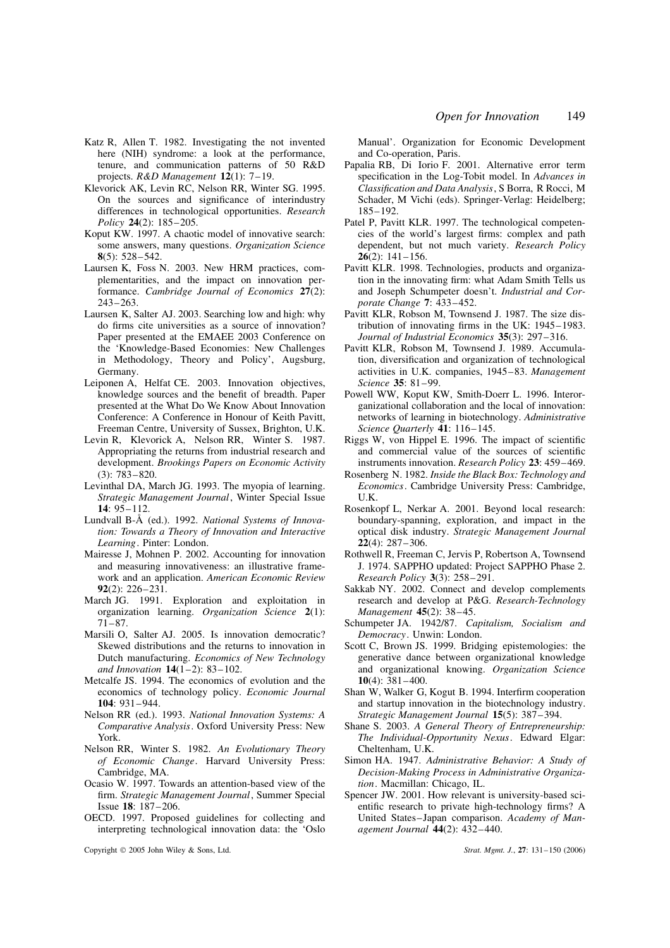- Katz R, Allen T. 1982. Investigating the not invented here (NIH) syndrome: a look at the performance, tenure, and communication patterns of 50 R&D projects. *R&D Management* **12**(1): 7–19.
- Klevorick AK, Levin RC, Nelson RR, Winter SG. 1995. On the sources and significance of interindustry differences in technological opportunities. *Research Policy* **24**(2): 185–205.
- Koput KW. 1997. A chaotic model of innovative search: some answers, many questions. *Organization Science* **8**(5): 528–542.
- Laursen K, Foss N. 2003. New HRM practices, complementarities, and the impact on innovation performance. *Cambridge Journal of Economics* **27**(2): 243–263.
- Laursen K, Salter AJ. 2003. Searching low and high: why do firms cite universities as a source of innovation? Paper presented at the EMAEE 2003 Conference on the 'Knowledge-Based Economies: New Challenges in Methodology, Theory and Policy', Augsburg, Germany.
- Leiponen A, Helfat CE. 2003. Innovation objectives, knowledge sources and the benefit of breadth. Paper presented at the What Do We Know About Innovation Conference: A Conference in Honour of Keith Pavitt, Freeman Centre, University of Sussex, Brighton, U.K.
- Levin R, Klevorick A, Nelson RR, Winter S. 1987. Appropriating the returns from industrial research and development. *Brookings Papers on Economic Activity* (3): 783–820.
- Levinthal DA, March JG. 1993. The myopia of learning. *Strategic Management Journal*, Winter Special Issue **14**: 95–112.
- Lundvall B-Å (ed.). 1992. National Systems of Innova*tion: Towards a Theory of Innovation and Interactive Learning*. Pinter: London.
- Mairesse J, Mohnen P. 2002. Accounting for innovation and measuring innovativeness: an illustrative framework and an application. *American Economic Review* **92**(2): 226–231.
- March JG. 1991. Exploration and exploitation in organization learning. *Organization Science* **2**(1): 71–87.
- Marsili O, Salter AJ. 2005. Is innovation democratic? Skewed distributions and the returns to innovation in Dutch manufacturing. *Economics of New Technology and Innovation* **14**(1–2): 83–102.
- Metcalfe JS. 1994. The economics of evolution and the economics of technology policy. *Economic Journal* **104**: 931–944.
- Nelson RR (ed.). 1993. *National Innovation Systems: A Comparative Analysis*. Oxford University Press: New York.
- Nelson RR, Winter S. 1982. *An Evolutionary Theory of Economic Change*. Harvard University Press: Cambridge, MA.
- Ocasio W. 1997. Towards an attention-based view of the firm. *Strategic Management Journal*, Summer Special Issue **18**: 187–206.
- OECD. 1997. Proposed guidelines for collecting and interpreting technological innovation data: the 'Oslo

Copyright 2005 John Wiley & Sons, Ltd. *Strat. Mgmt. J.*, **27**: 131–150 (2006)

Manual'. Organization for Economic Development and Co-operation, Paris.

- Papalia RB, Di Iorio F. 2001. Alternative error term specification in the Log-Tobit model. In *Advances in Classification and Data Analysis*, S Borra, R Rocci, M Schader, M Vichi (eds). Springer-Verlag: Heidelberg; 185–192.
- Patel P, Pavitt KLR. 1997. The technological competencies of the world's largest firms: complex and path dependent, but not much variety. *Research Policy* **26**(2): 141–156.
- Pavitt KLR. 1998. Technologies, products and organization in the innovating firm: what Adam Smith Tells us and Joseph Schumpeter doesn't. *Industrial and Corporate Change* **7**: 433–452.
- Pavitt KLR, Robson M, Townsend J. 1987. The size distribution of innovating firms in the UK: 1945–1983. *Journal of Industrial Economics* **35**(3): 297–316.
- Pavitt KLR, Robson M, Townsend J. 1989. Accumulation, diversification and organization of technological activities in U.K. companies, 1945–83. *Management Science* **35**: 81–99.
- Powell WW, Koput KW, Smith-Doerr L. 1996. Interorganizational collaboration and the local of innovation: networks of learning in biotechnology. *Administrative Science Quarterly* **41**: 116–145.
- Riggs W, von Hippel E. 1996. The impact of scientific and commercial value of the sources of scientific instruments innovation. *Research Policy* **23**: 459–469.
- Rosenberg N. 1982. *Inside the Black Box: Technology and Economics*. Cambridge University Press: Cambridge,  $U K$
- Rosenkopf L, Nerkar A. 2001. Beyond local research: boundary-spanning, exploration, and impact in the optical disk industry. *Strategic Management Journal* **22**(4): 287–306.
- Rothwell R, Freeman C, Jervis P, Robertson A, Townsend J. 1974. SAPPHO updated: Project SAPPHO Phase 2. *Research Policy* **3**(3): 258–291.
- Sakkab NY. 2002. Connect and develop complements research and develop at P&G. *Research-Technology Management* **45**(2): 38–45.
- Schumpeter JA. 1942/87. *Capitalism, Socialism and Democracy*. Unwin: London.
- Scott C, Brown JS. 1999. Bridging epistemologies: the generative dance between organizational knowledge and organizational knowing. *Organization Science* **10**(4): 381–400.
- Shan W, Walker G, Kogut B. 1994. Interfirm cooperation and startup innovation in the biotechnology industry. *Strategic Management Journal* **15**(5): 387–394.
- Shane S. 2003. *A General Theory of Entrepreneurship: The Individual-Opportunity Nexus*. Edward Elgar: Cheltenham, U.K.
- Simon HA. 1947. *Administrative Behavior: A Study of Decision-Making Process in Administrative Organization*. Macmillan: Chicago, IL.
- Spencer JW. 2001. How relevant is university-based scientific research to private high-technology firms? A United States–Japan comparison. *Academy of Management Journal* **44**(2): 432–440.